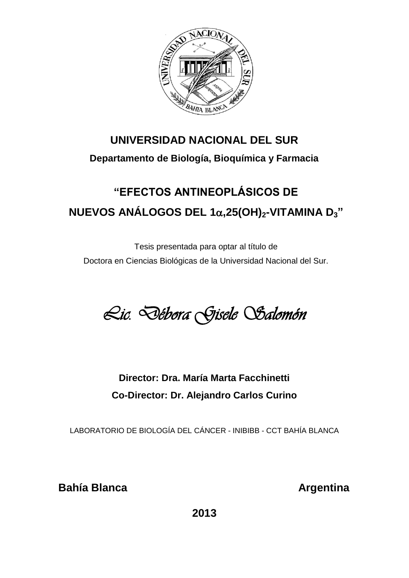

### **UNIVERSIDAD NACIONAL DEL SUR**

### **Departamento de Biología, Bioquímica y Farmacia**

# **"EFECTOS ANTINEOPLÁSICOS DE NUEVOS ANÁLOGOS DEL 1,25(OH)2-VITAMINA D<sup>3</sup> "**

Tesis presentada para optar al título de Doctora en Ciencias Biológicas de la Universidad Nacional del Sur.

*Lic. Débora Gisele Salomón* 

## **Director: Dra. María Marta Facchinetti Co-Director: Dr. Alejandro Carlos Curino**

LABORATORIO DE BIOLOGÍA DEL CÁNCER - INIBIBB - CCT BAHÍA BLANCA

**Bahía Blanca Argentina Argentina**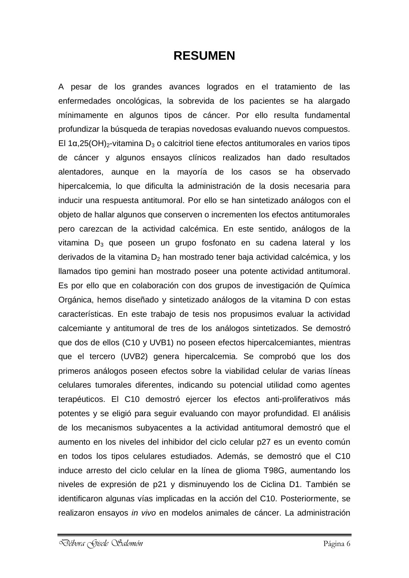## **RESUMEN**

A pesar de los grandes avances logrados en el tratamiento de las enfermedades oncológicas, la sobrevida de los pacientes se ha alargado mínimamente en algunos tipos de cáncer. Por ello resulta fundamental profundizar la búsqueda de terapias novedosas evaluando nuevos compuestos. El 1α,25(OH)<sub>2</sub>-vitamina D<sub>3</sub> o calcitriol tiene efectos antitumorales en varios tipos de cáncer y algunos ensayos clínicos realizados han dado resultados alentadores, aunque en la mayoría de los casos se ha observado hipercalcemia, lo que dificulta la administración de la dosis necesaria para inducir una respuesta antitumoral. Por ello se han sintetizado análogos con el objeto de hallar algunos que conserven o incrementen los efectos antitumorales pero carezcan de la actividad calcémica. En este sentido, análogos de la vitamina  $D_3$  que poseen un grupo fosfonato en su cadena lateral y los derivados de la vitamina  $D_2$  han mostrado tener baja actividad calcémica, y los llamados tipo gemini han mostrado poseer una potente actividad antitumoral. Es por ello que en colaboración con dos grupos de investigación de Química Orgánica, hemos diseñado y sintetizado análogos de la vitamina D con estas características. En este trabajo de tesis nos propusimos evaluar la actividad calcemiante y antitumoral de tres de los análogos sintetizados. Se demostró que dos de ellos (C10 y UVB1) no poseen efectos hipercalcemiantes, mientras que el tercero (UVB2) genera hipercalcemia. Se comprobó que los dos primeros análogos poseen efectos sobre la viabilidad celular de varias líneas celulares tumorales diferentes, indicando su potencial utilidad como agentes terapéuticos. El C10 demostró ejercer los efectos anti-proliferativos más potentes y se eligió para seguir evaluando con mayor profundidad. El análisis de los mecanismos subyacentes a la actividad antitumoral demostró que el aumento en los niveles del inhibidor del ciclo celular p27 es un evento común en todos los tipos celulares estudiados. Además, se demostró que el C10 induce arresto del ciclo celular en la línea de glioma T98G, aumentando los niveles de expresión de p21 y disminuyendo los de Ciclina D1. También se identificaron algunas vías implicadas en la acción del C10. Posteriormente, se realizaron ensayos *in vivo* en modelos animales de cáncer. La administración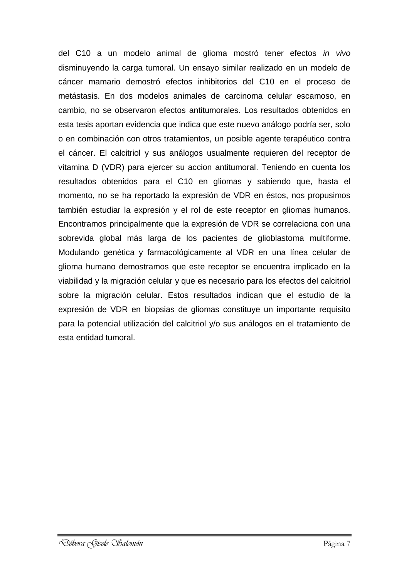del C10 a un modelo animal de glioma mostró tener efectos *in vivo* disminuyendo la carga tumoral. Un ensayo similar realizado en un modelo de cáncer mamario demostró efectos inhibitorios del C10 en el proceso de metástasis. En dos modelos animales de carcinoma celular escamoso, en cambio, no se observaron efectos antitumorales. Los resultados obtenidos en esta tesis aportan evidencia que indica que este nuevo análogo podría ser, solo o en combinación con otros tratamientos, un posible agente terapéutico contra el cáncer. El calcitriol y sus análogos usualmente requieren del receptor de vitamina D (VDR) para ejercer su accion antitumoral. Teniendo en cuenta los resultados obtenidos para el C10 en gliomas y sabiendo que, hasta el momento, no se ha reportado la expresión de VDR en éstos, nos propusimos también estudiar la expresión y el rol de este receptor en gliomas humanos. Encontramos principalmente que la expresión de VDR se correlaciona con una sobrevida global más larga de los pacientes de glioblastoma multiforme. Modulando genética y farmacológicamente al VDR en una línea celular de glioma humano demostramos que este receptor se encuentra implicado en la viabilidad y la migración celular y que es necesario para los efectos del calcitriol sobre la migración celular. Estos resultados indican que el estudio de la expresión de VDR en biopsias de gliomas constituye un importante requisito para la potencial utilización del calcitriol y/o sus análogos en el tratamiento de esta entidad tumoral.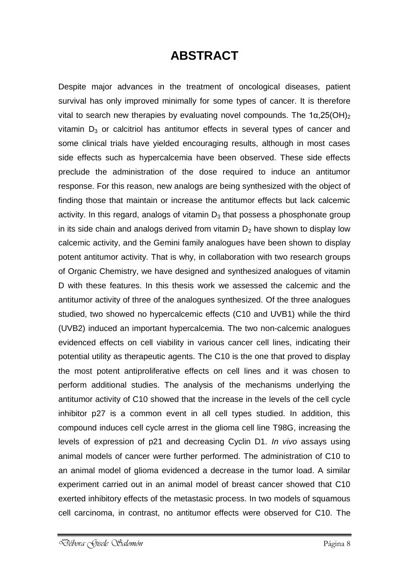## **ABSTRACT**

Despite major advances in the treatment of oncological diseases, patient survival has only improved minimally for some types of cancer. It is therefore vital to search new therapies by evaluating novel compounds. The 1α,25(OH)<sub>2</sub> vitamin  $D_3$  or calcitriol has antitumor effects in several types of cancer and some clinical trials have yielded encouraging results, although in most cases side effects such as hypercalcemia have been observed. These side effects preclude the administration of the dose required to induce an antitumor response. For this reason, new analogs are being synthesized with the object of finding those that maintain or increase the antitumor effects but lack calcemic activity. In this regard, analogs of vitamin  $D_3$  that possess a phosphonate group in its side chain and analogs derived from vitamin  $D_2$  have shown to display low calcemic activity, and the Gemini family analogues have been shown to display potent antitumor activity. That is why, in collaboration with two research groups of Organic Chemistry, we have designed and synthesized analogues of vitamin D with these features. In this thesis work we assessed the calcemic and the antitumor activity of three of the analogues synthesized. Of the three analogues studied, two showed no hypercalcemic effects (C10 and UVB1) while the third (UVB2) induced an important hypercalcemia. The two non-calcemic analogues evidenced effects on cell viability in various cancer cell lines, indicating their potential utility as therapeutic agents. The C10 is the one that proved to display the most potent antiproliferative effects on cell lines and it was chosen to perform additional studies. The analysis of the mechanisms underlying the antitumor activity of C10 showed that the increase in the levels of the cell cycle inhibitor p27 is a common event in all cell types studied. In addition, this compound induces cell cycle arrest in the glioma cell line T98G, increasing the levels of expression of p21 and decreasing Cyclin D1. *In vivo* assays using animal models of cancer were further performed. The administration of C10 to an animal model of glioma evidenced a decrease in the tumor load. A similar experiment carried out in an animal model of breast cancer showed that C10 exerted inhibitory effects of the metastasic process. In two models of squamous cell carcinoma, in contrast, no antitumor effects were observed for C10. The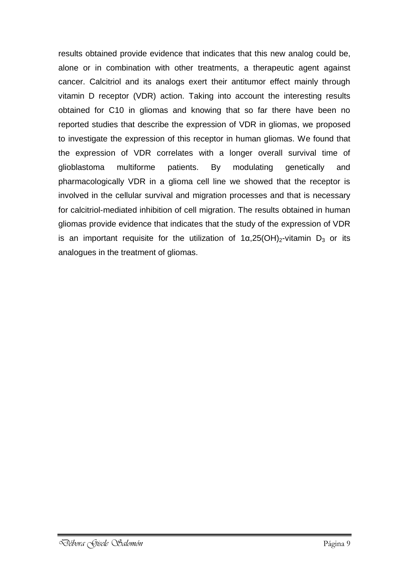results obtained provide evidence that indicates that this new analog could be, alone or in combination with other treatments, a therapeutic agent against cancer. Calcitriol and its analogs exert their antitumor effect mainly through vitamin D receptor (VDR) action. Taking into account the interesting results obtained for C10 in gliomas and knowing that so far there have been no reported studies that describe the expression of VDR in gliomas, we proposed to investigate the expression of this receptor in human gliomas. We found that the expression of VDR correlates with a longer overall survival time of glioblastoma multiforme patients. By modulating genetically and pharmacologically VDR in a glioma cell line we showed that the receptor is involved in the cellular survival and migration processes and that is necessary for calcitriol-mediated inhibition of cell migration. The results obtained in human gliomas provide evidence that indicates that the study of the expression of VDR is an important requisite for the utilization of  $1\alpha,25(OH)_{2}$ -vitamin D<sub>3</sub> or its analogues in the treatment of gliomas.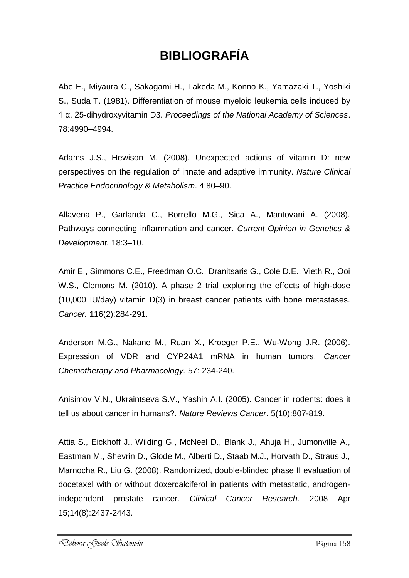## **BIBLIOGRAFÍA**

Abe E., Miyaura C., Sakagami H., Takeda M., Konno K., Yamazaki T., Yoshiki S., Suda T. (1981). Differentiation of mouse myeloid leukemia cells induced by 1 α, 25-dihydroxyvitamin D3. *Proceedings of the National Academy of Sciences*. 78:4990–4994.

Adams J.S., Hewison M. (2008). Unexpected actions of vitamin D: new perspectives on the regulation of innate and adaptive immunity. *Nature Clinical Practice Endocrinology & Metabolism*. 4:80–90.

Allavena P., Garlanda C., Borrello M.G., Sica A., Mantovani A. (2008). Pathways connecting inflammation and cancer. *Current Opinion in Genetics & Development.* 18:3–10.

Amir E., Simmons C.E., Freedman O.C., Dranitsaris G., Cole D.E., Vieth R., Ooi W.S., Clemons M. (2010). A phase 2 trial exploring the effects of high-dose (10,000 IU/day) vitamin D(3) in breast cancer patients with bone metastases. *Cancer.* 116(2):284-291.

Anderson M.G., Nakane M., Ruan X., Kroeger P.E., Wu-Wong J.R. (2006). Expression of VDR and CYP24A1 mRNA in human tumors. *Cancer Chemotherapy and Pharmacology.* 57: 234-240.

Anisimov V.N., Ukraintseva S.V., Yashin A.I. (2005). Cancer in rodents: does it tell us about cancer in humans?. *Nature Reviews Cancer*. 5(10):807-819.

Attia S., Eickhoff J., Wilding G., McNeel D., Blank J., Ahuja H., Jumonville A., Eastman M., Shevrin D., Glode M., Alberti D., Staab M.J., Horvath D., Straus J., Marnocha R., Liu G. (2008). Randomized, double-blinded phase II evaluation of docetaxel with or without doxercalciferol in patients with metastatic, androgenindependent prostate cancer. *Clinical Cancer Research*. 2008 Apr 15;14(8):2437-2443.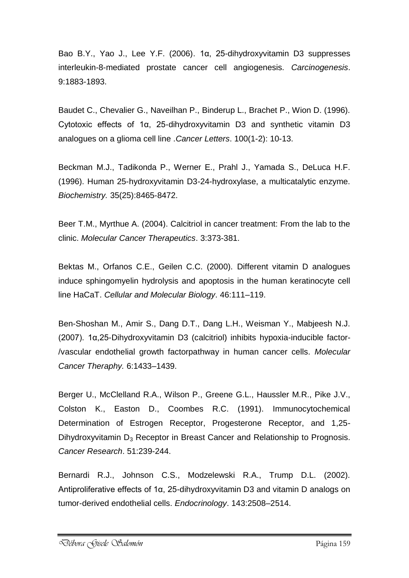Bao B.Y., Yao J., Lee Y.F. (2006). 1α, 25-dihydroxyvitamin D3 suppresses interleukin-8-mediated prostate cancer cell angiogenesis. *Carcinogenesis*. 9:1883-1893.

Baudet C., Chevalier G., Naveilhan P., Binderup L., Brachet P., Wion D. (1996). Cytotoxic effects of 1α, 25-dihydroxyvitamin D3 and synthetic vitamin D3 analogues on a glioma cell line .*Cancer Letters*. 100(1-2): 10-13.

Beckman M.J., Tadikonda P., Werner E., Prahl J., Yamada S., DeLuca H.F. (1996). Human 25-hydroxyvitamin D3-24-hydroxylase, a multicatalytic enzyme. *Biochemistry.* 35(25):8465-8472.

Beer T.M., Myrthue A. (2004). Calcitriol in cancer treatment: From the lab to the clinic. *Molecular Cancer Therapeutics*. 3:373-381.

Bektas M., Orfanos C.E., Geilen C.C. (2000). Different vitamin D analogues induce sphingomyelin hydrolysis and apoptosis in the human keratinocyte cell line HaCaT. *Cellular and Molecular Biology*. 46:111–119.

Ben-Shoshan M., Amir S., Dang D.T., Dang L.H., Weisman Y., Mabjeesh N.J. (2007). 1α,25-Dihydroxyvitamin D3 (calcitriol) inhibits hypoxia-inducible factor- /vascular endothelial growth factorpathway in human cancer cells. *Molecular Cancer Theraphy.* 6:1433–1439.

Berger U., McClelland R.A., Wilson P., Greene G.L., Haussler M.R., Pike J.V., Colston K., Easton D., Coombes R.C. (1991). Immunocytochemical Determination of Estrogen Receptor, Progesterone Receptor, and 1,25- Dihydroxyvitamin  $D_3$  Receptor in Breast Cancer and Relationship to Prognosis. *Cancer Research*. 51:239-244.

Bernardi R.J., Johnson C.S., Modzelewski R.A., Trump D.L. (2002). Antiproliferative effects of 1α, 25-dihydroxyvitamin D3 and vitamin D analogs on tumor-derived endothelial cells. *Endocrinology*. 143:2508–2514.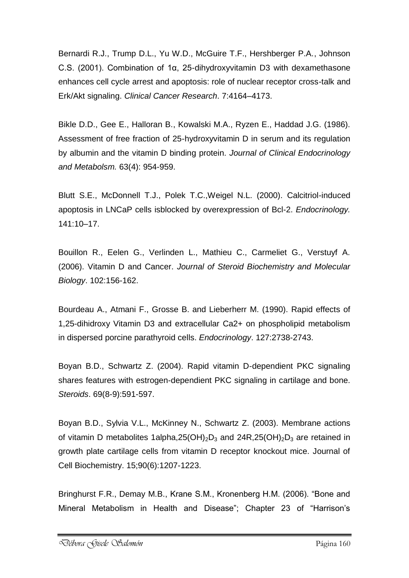Bernardi R.J., Trump D.L., Yu W.D., McGuire T.F., Hershberger P.A., Johnson C.S. (2001). Combination of 1α, 25-dihydroxyvitamin D3 with dexamethasone enhances cell cycle arrest and apoptosis: role of nuclear receptor cross-talk and Erk/Akt signaling. *Clinical Cancer Research*. 7:4164–4173.

Bikle D.D., Gee E., Halloran B., Kowalski M.A., Ryzen E., Haddad J.G. (1986). Assessment of free fraction of 25-hydroxyvitamin D in serum and its regulation by albumin and the vitamin D binding protein. *Journal of Clinical Endocrinology and Metabolsm.* 63(4): 954-959.

Blutt S.E., McDonnell T.J., Polek T.C.,Weigel N.L. (2000). Calcitriol-induced apoptosis in LNCaP cells isblocked by overexpression of Bcl-2. *Endocrinology.* 141:10–17.

Bouillon R., Eelen G., Verlinden L., Mathieu C., Carmeliet G., Verstuyf A. (2006). Vitamin D and Cancer. *Journal of Steroid Biochemistry and Molecular Biology*. 102:156-162.

Bourdeau A., Atmani F., Grosse B. and Lieberherr M. (1990). Rapid effects of 1,25-dihidroxy Vitamin D3 and extracellular Ca2+ on phospholipid metabolism in dispersed porcine parathyroid cells. *Endocrinology*. 127:2738-2743.

Boyan B.D., Schwartz Z. (2004). Rapid vitamin D-dependient PKC signaling shares features with estrogen-dependient PKC signaling in cartilage and bone. *Steroids*. 69(8-9):591-597.

Boyan B.D., Sylvia V.L., McKinney N., Schwartz Z. (2003). Membrane actions of vitamin D metabolites 1alpha,  $25(OH)_{2}D_{3}$  and  $24R$ ,  $25(OH)_{2}D_{3}$  are retained in growth plate cartilage cells from vitamin D receptor knockout mice. Journal of Cell Biochemistry. 15;90(6):1207-1223.

Bringhurst F.R., Demay M.B., Krane S.M., Kronenberg H.M. (2006). "Bone and Mineral Metabolism in Health and Disease"; Chapter 23 of "Harrison's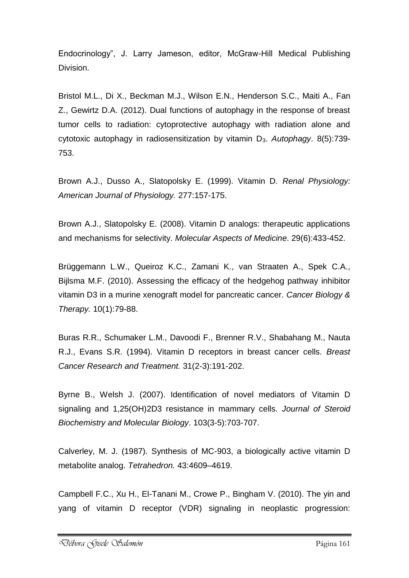Endocrinology", J. Larry Jameson, editor, McGraw-Hill Medical Publishing Division.

Bristol M.L., Di X., Beckman M.J., Wilson E.N., Henderson S.C., Maiti A., Fan Z., Gewirtz D.A. (2012). Dual functions of autophagy in the response of breast tumor cells to radiation: cytoprotective autophagy with radiation alone and cytotoxic autophagy in radiosensitization by vitamin D3. *Autophagy*. 8(5):739- 753.

Brown A.J., Dusso A., Slatopolsky E. (1999). Vitamin D. *Renal Physiology: American Journal of Physiology.* 277:157-175.

Brown A.J., Slatopolsky E. (2008). Vitamin D analogs: therapeutic applications and mechanisms for selectivity. *Molecular Aspects of Medicine*. 29(6):433-452.

Brüggemann L.W., Queiroz K.C., Zamani K., van Straaten A., Spek C.A., Bijlsma M.F. (2010). Assessing the efficacy of the hedgehog pathway inhibitor vitamin D3 in a murine xenograft model for pancreatic cancer. *Cancer Biology & Therapy.* 10(1):79-88.

Buras R.R., Schumaker L.M., Davoodi F., Brenner R.V., Shabahang M., Nauta R.J., Evans S.R. (1994). Vitamin D receptors in breast cancer cells. *Breast Cancer Research and Treatment.* 31(2-3):191-202.

Byrne B., Welsh J. (2007). Identification of novel mediators of Vitamin D signaling and 1,25(OH)2D3 resistance in mammary cells. *Journal of Steroid Biochemistry and Molecular Biology*. 103(3-5):703-707.

Calverley, M. J. (1987). Synthesis of MC-903, a biologically active vitamin D metabolite analog. *Tetrahedron.* 43:4609–4619.

Campbell F.C., Xu H., El-Tanani M., Crowe P., Bingham V. (2010). The yin and yang of vitamin D receptor (VDR) signaling in neoplastic progression: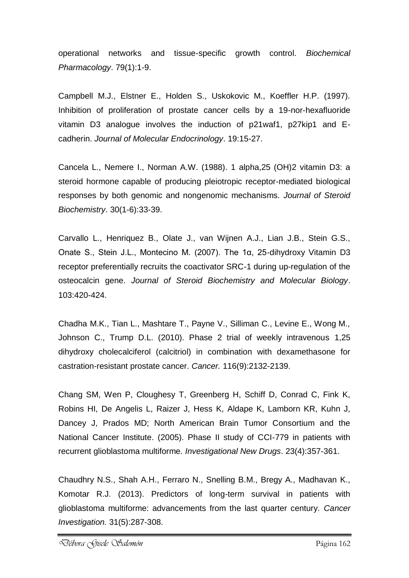operational networks and tissue-specific growth control. *Biochemical Pharmacology*. 79(1):1-9.

Campbell M.J., Elstner E., Holden S., Uskokovic M., Koeffler H.P. (1997). Inhibition of proliferation of prostate cancer cells by a 19-nor-hexafluoride vitamin D3 analogue involves the induction of p21waf1, p27kip1 and Ecadherin. *Journal of Molecular Endocrinology*. 19:15-27.

Cancela L., Nemere I., Norman A.W. (1988). 1 alpha,25 (OH)2 vitamin D3: a steroid hormone capable of producing pleiotropic receptor-mediated biological responses by both genomic and nongenomic mechanisms. *Journal of Steroid Biochemistry*. 30(1-6):33-39.

Carvallo L., Henriquez B., Olate J., van Wijnen A.J., Lian J.B., Stein G.S., Onate S., Stein J.L., Montecino M. (2007). The 1α, 25-dihydroxy Vitamin D3 receptor preferentially recruits the coactivator SRC-1 during up-regulation of the osteocalcin gene. *Journal of Steroid Biochemistry and Molecular Biology*. 103:420-424.

Chadha M.K., Tian L., Mashtare T., Payne V., Silliman C., Levine E., Wong M., Johnson C., Trump D.L. (2010). Phase 2 trial of weekly intravenous 1,25 dihydroxy cholecalciferol (calcitriol) in combination with dexamethasone for castration-resistant prostate cancer. *Cancer.* 116(9):2132-2139.

Chang SM, Wen P, Cloughesy T, Greenberg H, Schiff D, Conrad C, Fink K, Robins HI, De Angelis L, Raizer J, Hess K, Aldape K, Lamborn KR, Kuhn J, Dancey J, Prados MD; North American Brain Tumor Consortium and the National Cancer Institute. (2005). Phase II study of CCI-779 in patients with recurrent glioblastoma multiforme. *Investigational New Drugs*. 23(4):357-361.

Chaudhry N.S., Shah A.H., Ferraro N., Snelling B.M., Bregy A., Madhavan K., Komotar R.J. (2013). Predictors of long-term survival in patients with glioblastoma multiforme: advancements from the last quarter century. *Cancer Investigation.* 31(5):287-308.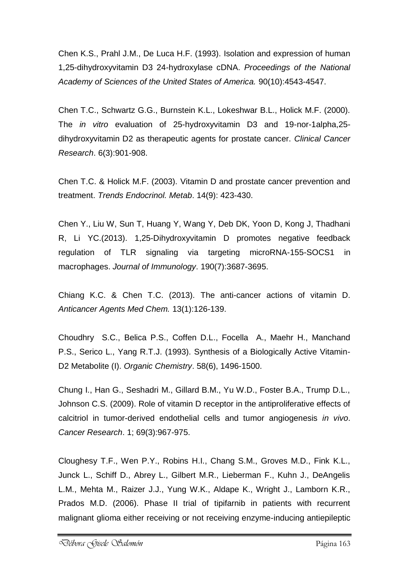Chen K.S., Prahl J.M., De Luca H.F. (1993). Isolation and expression of human 1,25-dihydroxyvitamin D3 24-hydroxylase cDNA. *Proceedings of the National Academy of Sciences of the United States of America.* 90(10):4543-4547.

Chen T.C., Schwartz G.G., Burnstein K.L., Lokeshwar B.L., Holick M.F. (2000). The *in vitro* evaluation of 25-hydroxyvitamin D3 and 19-nor-1alpha,25 dihydroxyvitamin D2 as therapeutic agents for prostate cancer. *Clinical Cancer Research*. 6(3):901-908.

Chen T.C. & Holick M.F. (2003). Vitamin D and prostate cancer prevention and treatment. *Trends Endocrinol. Metab*. 14(9): 423-430.

Chen Y., Liu W, Sun T, Huang Y, Wang Y, Deb DK, Yoon D, Kong J, Thadhani R, Li YC.(2013). 1,25-Dihydroxyvitamin D promotes negative feedback regulation of TLR signaling via targeting microRNA-155-SOCS1 in macrophages. *Journal of Immunology*. 190(7):3687-3695.

Chiang K.C. & Chen T.C. (2013). The anti-cancer actions of vitamin D. *Anticancer Agents Med Chem.* 13(1):126-139.

Choudhry S.C., Belica P.S., Coffen D.L., Focella A., Maehr H., Manchand P.S., Serico L., Yang R.T.J. (1993). Synthesis of a Biologically Active Vitamin-D2 Metabolite (I). *Organic Chemistry*. 58(6), 1496-1500.

Chung I., Han G., Seshadri M., Gillard B.M., Yu W.D., Foster B.A., Trump D.L., Johnson C.S. (2009). Role of vitamin D receptor in the antiproliferative effects of calcitriol in tumor-derived endothelial cells and tumor angiogenesis *in vivo*. *Cancer Research*. 1; 69(3):967-975.

Cloughesy T.F., Wen P.Y., Robins H.I., Chang S.M., Groves M.D., Fink K.L., Junck L., Schiff D., Abrey L., Gilbert M.R., Lieberman F., Kuhn J., DeAngelis L.M., Mehta M., Raizer J.J., Yung W.K., Aldape K., Wright J., Lamborn K.R., Prados M.D. (2006). Phase II trial of tipifarnib in patients with recurrent malignant glioma either receiving or not receiving enzyme-inducing antiepileptic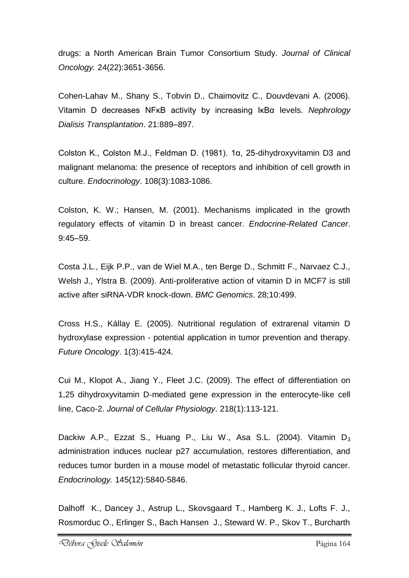drugs: a North American Brain Tumor Consortium Study. *Journal of Clinical Oncology.* 24(22):3651-3656.

Cohen-Lahav M., Shany S., Tobvin D., Chaimovitz C., Douvdevani A. (2006). Vitamin D decreases NFκB activity by increasing IκBα levels. *Nephrology Dialisis Transplantation*. 21:889–897.

Colston K., Colston M.J., Feldman D. (1981). 1α, 25-dihydroxyvitamin D3 and malignant melanoma: the presence of receptors and inhibition of cell growth in culture. *Endocrinology*. 108(3):1083-1086.

Colston, K. W.; Hansen, M. (2001). Mechanisms implicated in the growth regulatory effects of vitamin D in breast cancer. *Endocrine-Related Cancer*. 9:45–59.

Costa J.L., Eijk P.P., van de Wiel M.A., ten Berge D., Schmitt F., Narvaez C.J., Welsh J., Ylstra B. (2009). Anti-proliferative action of vitamin D in MCF7 is still active after siRNA-VDR knock-down. *BMC Genomics*. 28;10:499.

Cross H.S., Kállay E. (2005). Nutritional regulation of extrarenal vitamin D hydroxylase expression - potential application in tumor prevention and therapy. *Future Oncology*. 1(3):415-424.

Cui M., Klopot A., Jiang Y., Fleet J.C. (2009). The effect of differentiation on 1,25 dihydroxyvitamin D-mediated gene expression in the enterocyte-like cell line, Caco-2. *Journal of Cellular Physiology*. 218(1):113-121.

Dackiw A.P., Ezzat S., Huang P., Liu W., Asa S.L. (2004). Vitamin  $D_3$ administration induces nuclear p27 accumulation, restores differentiation, and reduces tumor burden in a mouse model of metastatic follicular thyroid cancer. *Endocrinology.* 145(12):5840-5846.

Dalhoff K., Dancey J., Astrup L., Skovsgaard T., Hamberg K. J., Lofts F. J., Rosmorduc O., Erlinger S., Bach Hansen J., Steward W. P., Skov T., Burcharth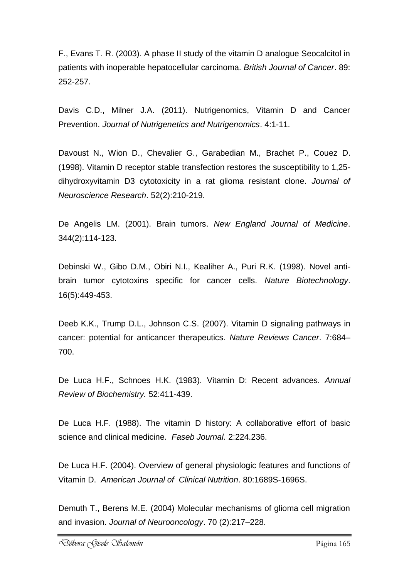F., Evans T. R. (2003). A phase II study of the vitamin D analogue Seocalcitol in patients with inoperable hepatocellular carcinoma. *British Journal of Cancer*. 89: 252-257.

Davis C.D., Milner J.A. (2011). Nutrigenomics, Vitamin D and Cancer Prevention. *Journal of Nutrigenetics and Nutrigenomics*. 4:1-11.

Davoust N., Wion D., Chevalier G., Garabedian M., Brachet P., Couez D. (1998). Vitamin D receptor stable transfection restores the susceptibility to 1,25 dihydroxyvitamin D3 cytotoxicity in a rat glioma resistant clone. *Journal of Neuroscience Research*. 52(2):210-219.

De Angelis LM. (2001). Brain tumors. *New England Journal of Medicine*. 344(2):114-123.

Debinski W., Gibo D.M., Obiri N.I., Kealiher A., Puri R.K. (1998). Novel antibrain tumor cytotoxins specific for cancer cells. *Nature Biotechnology*. 16(5):449-453.

Deeb K.K., Trump D.L., Johnson C.S. (2007). Vitamin D signaling pathways in cancer: potential for anticancer therapeutics. *Nature Reviews Cancer*. 7:684– 700.

De Luca H.F., Schnoes H.K. (1983). Vitamin D: Recent advances. *Annual Review of Biochemistry.* 52:411-439.

De Luca H.F. (1988). The vitamin D history: A collaborative effort of basic science and clinical medicine. *Faseb Journal*. 2:224.236.

De Luca H.F. (2004). Overview of general physiologic features and functions of Vitamin D. *American Journal of Clinical Nutrition*. 80:1689S-1696S.

Demuth T., Berens M.E. (2004) Molecular mechanisms of glioma cell migration and invasion. *Journal of Neurooncology*. 70 (2):217–228.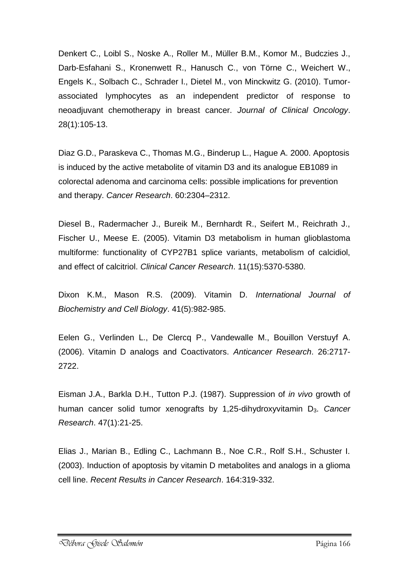Denkert C., Loibl S., Noske A., Roller M., Müller B.M., Komor M., Budczies J., Darb-Esfahani S., Kronenwett R., Hanusch C., von Törne C., Weichert W., Engels K., Solbach C., Schrader I., Dietel M., von Minckwitz G. (2010). Tumorassociated lymphocytes as an independent predictor of response to neoadjuvant chemotherapy in breast cancer. *Journal of Clinical Oncology*. 28(1):105-13.

Diaz G.D., Paraskeva C., Thomas M.G., Binderup L., Hague A. 2000. Apoptosis is induced by the active metabolite of vitamin D3 and its analogue EB1089 in colorectal adenoma and carcinoma cells: possible implications for prevention and therapy. *Cancer Research*. 60:2304–2312.

Diesel B., Radermacher J., Bureik M., Bernhardt R., Seifert M., Reichrath J., Fischer U., Meese E. (2005). Vitamin D3 metabolism in human glioblastoma multiforme: functionality of CYP27B1 splice variants, metabolism of calcidiol, and effect of calcitriol. *Clinical Cancer Research*. 11(15):5370-5380.

Dixon K.M., Mason R.S. (2009). Vitamin D. *International Journal of Biochemistry and Cell Biology*. 41(5):982-985.

Eelen G., Verlinden L., De Clercq P., Vandewalle M., Bouillon Verstuyf A. (2006). Vitamin D analogs and Coactivators. *Anticancer Research*. 26:2717- 2722.

Eisman J.A., Barkla D.H., Tutton P.J. (1987). Suppression of *in vivo* growth of human cancer solid tumor xenografts by 1,25-dihydroxyvitamin D<sub>3</sub>. Cancer *Research*. 47(1):21-25.

Elias J., Marian B., Edling C., Lachmann B., Noe C.R., Rolf S.H., Schuster I. (2003). Induction of apoptosis by vitamin D metabolites and analogs in a glioma cell line. *Recent Results in Cancer Research*. 164:319-332.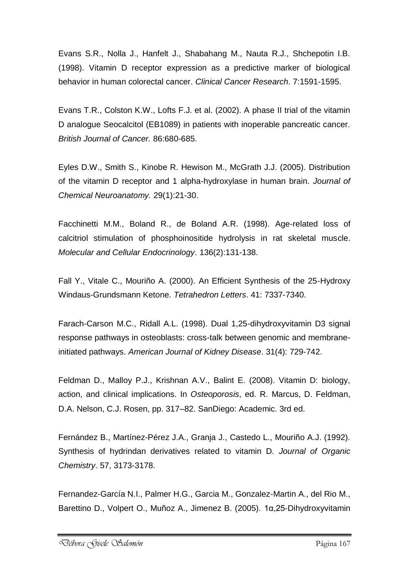Evans S.R., Nolla J., Hanfelt J., Shabahang M., Nauta R.J., Shchepotin I.B. (1998). Vitamin D receptor expression as a predictive marker of biological behavior in human colorectal cancer. *Clinical Cancer Research*. 7:1591-1595.

Evans T.R., Colston K.W., Lofts F.J. et al. (2002). A phase II trial of the vitamin D analogue Seocalcitol (EB1089) in patients with inoperable pancreatic cancer. *British Journal of Cancer.* 86:680-685.

Eyles D.W., Smith S., Kinobe R. Hewison M., McGrath J.J. (2005). Distribution of the vitamin D receptor and 1 alpha-hydroxylase in human brain. *Journal of Chemical Neuroanatomy.* 29(1):21-30.

Facchinetti M.M., Boland R., de Boland A.R. (1998). Age-related loss of calcitriol stimulation of phosphoinositide hydrolysis in rat skeletal muscle. *Molecular and Cellular Endocrinology*. 136(2):131-138.

Fall Y., Vitale C., Mouriño A. (2000). An Efficient Synthesis of the 25-Hydroxy Windaus-Grundsmann Ketone. *Tetrahedron Letters*. 41: 7337-7340.

Farach-Carson M.C., Ridall A.L. (1998). Dual 1,25-dihydroxyvitamin D3 signal response pathways in osteoblasts: cross-talk between genomic and membraneinitiated pathways. *American Journal of Kidney Disease*. 31(4): 729-742.

Feldman D., Malloy P.J., Krishnan A.V., Balint E. (2008). Vitamin D: biology, action, and clinical implications. In *Osteoporosis*, ed. R. Marcus, D. Feldman, D.A. Nelson, C.J. Rosen, pp. 317–82. SanDiego: Academic. 3rd ed.

Fernández B., Martínez-Pérez J.A., Granja J., Castedo L., Mouriño A.J. (1992). Synthesis of hydrindan derivatives related to vitamin D. *Journal of Organic Chemistry*. 57, 3173-3178.

Fernandez-García N.I., Palmer H.G., Garcia M., Gonzalez-Martin A., del Rio M., Barettino D., Volpert O., Muñoz A., Jimenez B. (2005). 1α,25-Dihydroxyvitamin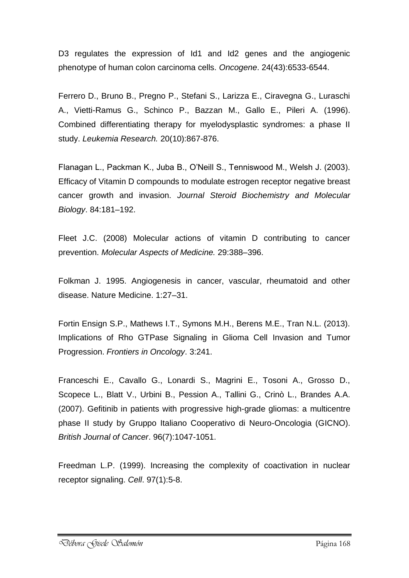D3 regulates the expression of Id1 and Id2 genes and the angiogenic phenotype of human colon carcinoma cells. *Oncogene*. 24(43):6533-6544.

Ferrero D., Bruno B., Pregno P., Stefani S., Larizza E., Ciravegna G., Luraschi A., Vietti-Ramus G., Schinco P., Bazzan M., Gallo E., Pileri A. (1996). Combined differentiating therapy for myelodysplastic syndromes: a phase II study. *Leukemia Research.* 20(10):867-876.

Flanagan L., Packman K., Juba B., O'Neill S., Tenniswood M., Welsh J. (2003). Efficacy of Vitamin D compounds to modulate estrogen receptor negative breast cancer growth and invasion. *Journal Steroid Biochemistry and Molecular Biology*. 84:181–192.

Fleet J.C. (2008) Molecular actions of vitamin D contributing to cancer prevention. *Molecular Aspects of Medicine.* 29:388–396.

Folkman J. 1995. Angiogenesis in cancer, vascular, rheumatoid and other disease. Nature Medicine. 1:27–31.

Fortin Ensign S.P., Mathews I.T., Symons M.H., Berens M.E., Tran N.L. (2013). Implications of Rho GTPase Signaling in Glioma Cell Invasion and Tumor Progression. *Frontiers in Oncology*. 3:241.

Franceschi E., Cavallo G., Lonardi S., Magrini E., Tosoni A., Grosso D., Scopece L., Blatt V., Urbini B., Pession A., Tallini G., Crinò L., Brandes A.A. (2007). Gefitinib in patients with progressive high-grade gliomas: a multicentre phase II study by Gruppo Italiano Cooperativo di Neuro-Oncologia (GICNO). *British Journal of Cancer*. 96(7):1047-1051.

Freedman L.P. (1999). Increasing the complexity of coactivation in nuclear receptor signaling. *Cell*. 97(1):5-8.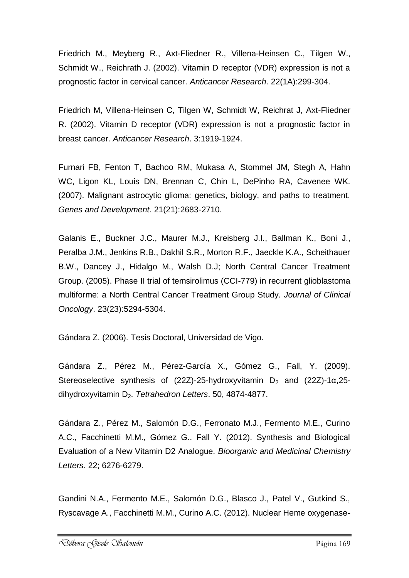Friedrich M., Meyberg R., Axt-Fliedner R., Villena-Heinsen C., Tilgen W., Schmidt W., Reichrath J. (2002). Vitamin D receptor (VDR) expression is not a prognostic factor in cervical cancer. *Anticancer Research*. 22(1A):299-304.

Friedrich M, Villena-Heinsen C, Tilgen W, Schmidt W, Reichrat J, Axt-Fliedner R. (2002). Vitamin D receptor (VDR) expression is not a prognostic factor in breast cancer. *Anticancer Research*. 3:1919-1924.

Furnari FB, Fenton T, Bachoo RM, Mukasa A, Stommel JM, Stegh A, Hahn WC, Ligon KL, Louis DN, Brennan C, Chin L, DePinho RA, Cavenee WK. (2007). Malignant astrocytic glioma: genetics, biology, and paths to treatment. *Genes and Development*. 21(21):2683-2710.

Galanis E., Buckner J.C., Maurer M.J., Kreisberg J.I., Ballman K., Boni J., Peralba J.M., Jenkins R.B., Dakhil S.R., Morton R.F., Jaeckle K.A., Scheithauer B.W., Dancey J., Hidalgo M., Walsh D.J; North Central Cancer Treatment Group. (2005). Phase II trial of temsirolimus (CCI-779) in recurrent glioblastoma multiforme: a North Central Cancer Treatment Group Study. *Journal of Clinical Oncology*. 23(23):5294-5304.

Gándara Z. (2006). Tesis Doctoral, Universidad de Vigo.

Gándara Z., Pérez M., Pérez-García X., Gómez G., Fall, Y. (2009). Stereoselective synthesis of (22Z)-25-hydroxyvitamin  $D_2$  and (22Z)-1 $\alpha$ ,25dihydroxyvitamin D2. *Tetrahedron Letters*. 50, 4874-4877.

Gándara Z., Pérez M., Salomón D.G., Ferronato M.J., Fermento M.E., Curino A.C., Facchinetti M.M., Gómez G., Fall Y. (2012). Synthesis and Biological Evaluation of a New Vitamin D2 Analogue. *Bioorganic and Medicinal Chemistry Letters*. 22; 6276-6279.

Gandini N.A., Fermento M.E., Salomón D.G., Blasco J., Patel V., Gutkind S., Ryscavage A., Facchinetti M.M., Curino A.C. (2012). Nuclear Heme oxygenase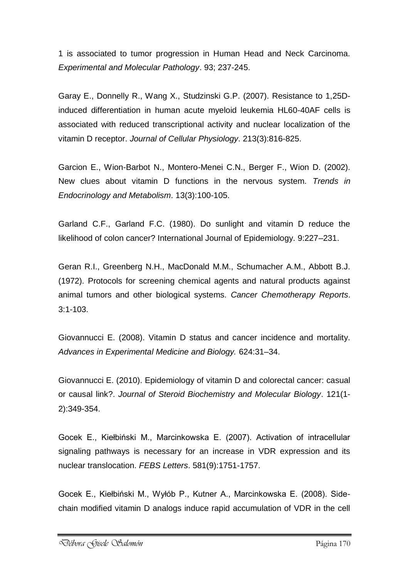1 is associated to tumor progression in Human Head and Neck Carcinoma. *Experimental and Molecular Pathology*. 93; 237-245.

Garay E., Donnelly R., Wang X., Studzinski G.P. (2007). Resistance to 1,25Dinduced differentiation in human acute myeloid leukemia HL60-40AF cells is associated with reduced transcriptional activity and nuclear localization of the vitamin D receptor. *Journal of Cellular Physiology*. 213(3):816-825.

Garcion E., Wion-Barbot N., Montero-Menei C.N., Berger F., Wion D. (2002). New clues about vitamin D functions in the nervous system. *Trends in Endocrinology and Metabolism*. 13(3):100-105.

Garland C.F., Garland F.C. (1980). Do sunlight and vitamin D reduce the likelihood of colon cancer? International Journal of Epidemiology. 9:227–231.

Geran R.I., Greenberg N.H., MacDonald M.M., Schumacher A.M., Abbott B.J. (1972). Protocols for screening chemical agents and natural products against animal tumors and other biological systems. *Cancer Chemotherapy Reports*. 3:1-103.

Giovannucci E. (2008). Vitamin D status and cancer incidence and mortality. *Advances in Experimental Medicine and Biology.* 624:31–34.

Giovannucci E. (2010). Epidemiology of vitamin D and colorectal cancer: casual or causal link?. *Journal of Steroid Biochemistry and Molecular Biology*. 121(1- 2):349-354.

Gocek E., Kiełbiński M., Marcinkowska E. (2007). Activation of intracellular signaling pathways is necessary for an increase in VDR expression and its nuclear translocation. *FEBS Letters*. 581(9):1751-1757.

Gocek E., Kiełbiński M., Wyłób P., Kutner A., Marcinkowska E. (2008). Sidechain modified vitamin D analogs induce rapid accumulation of VDR in the cell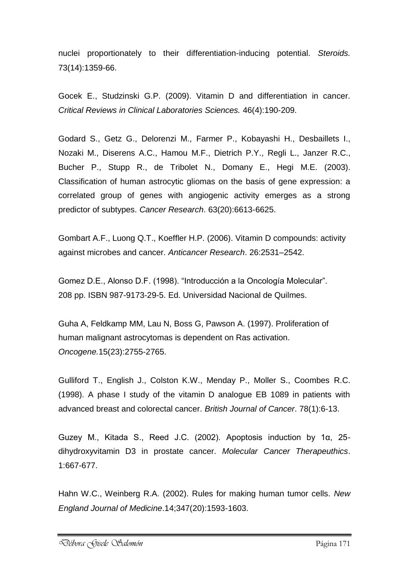nuclei proportionately to their differentiation-inducing potential. *Steroids.* 73(14):1359-66.

Gocek E., Studzinski G.P. (2009). Vitamin D and differentiation in cancer. *Critical Reviews in Clinical Laboratories Sciences.* 46(4):190-209.

[Godard](http://www.ncbi.nlm.nih.gov/pubmed?term=Godard%20S%5BAuthor%5D&cauthor=true&cauthor_uid=14583454) S., [Getz G.](http://www.ncbi.nlm.nih.gov/pubmed?term=Getz%20G%5BAuthor%5D&cauthor=true&cauthor_uid=14583454), [Delorenzi M.](http://www.ncbi.nlm.nih.gov/pubmed?term=Delorenzi%20M%5BAuthor%5D&cauthor=true&cauthor_uid=14583454), [Farmer P.](http://www.ncbi.nlm.nih.gov/pubmed?term=Farmer%20P%5BAuthor%5D&cauthor=true&cauthor_uid=14583454), [Kobayashi H.](http://www.ncbi.nlm.nih.gov/pubmed?term=Kobayashi%20H%5BAuthor%5D&cauthor=true&cauthor_uid=14583454), [Desbaillets I.](http://www.ncbi.nlm.nih.gov/pubmed?term=Desbaillets%20I%5BAuthor%5D&cauthor=true&cauthor_uid=14583454), [Nozaki M.](http://www.ncbi.nlm.nih.gov/pubmed?term=Nozaki%20M%5BAuthor%5D&cauthor=true&cauthor_uid=14583454), [Diserens A.C.](http://www.ncbi.nlm.nih.gov/pubmed?term=Diserens%20AC%5BAuthor%5D&cauthor=true&cauthor_uid=14583454), [Hamou M.F.](http://www.ncbi.nlm.nih.gov/pubmed?term=Hamou%20MF%5BAuthor%5D&cauthor=true&cauthor_uid=14583454), [Dietrich P.Y.](http://www.ncbi.nlm.nih.gov/pubmed?term=Dietrich%20PY%5BAuthor%5D&cauthor=true&cauthor_uid=14583454), [Regli L.](http://www.ncbi.nlm.nih.gov/pubmed?term=Regli%20L%5BAuthor%5D&cauthor=true&cauthor_uid=14583454), [Janzer R.C.](http://www.ncbi.nlm.nih.gov/pubmed?term=Janzer%20RC%5BAuthor%5D&cauthor=true&cauthor_uid=14583454), [Bucher P.](http://www.ncbi.nlm.nih.gov/pubmed?term=Bucher%20P%5BAuthor%5D&cauthor=true&cauthor_uid=14583454), [Stupp R.](http://www.ncbi.nlm.nih.gov/pubmed?term=Stupp%20R%5BAuthor%5D&cauthor=true&cauthor_uid=14583454), [de Tribolet N.](http://www.ncbi.nlm.nih.gov/pubmed?term=de%20Tribolet%20N%5BAuthor%5D&cauthor=true&cauthor_uid=14583454), [Domany E.](http://www.ncbi.nlm.nih.gov/pubmed?term=Domany%20E%5BAuthor%5D&cauthor=true&cauthor_uid=14583454), [Hegi M.E.](http://www.ncbi.nlm.nih.gov/pubmed?term=Hegi%20ME%5BAuthor%5D&cauthor=true&cauthor_uid=14583454) (2003). Classification of human astrocytic gliomas on the basis of gene expression: a correlated group of genes with angiogenic activity emerges as a strong predictor of subtypes. *Cancer Research*. 63(20):6613-6625.

Gombart A.F., Luong Q.T., Koeffler H.P. (2006). Vitamin D compounds: activity against microbes and cancer. *Anticancer Research*. 26:2531–2542.

Gomez D.E., Alonso D.F. (1998). "Introducción a la Oncología Molecular". 208 pp. ISBN 987-9173-29-5. Ed. Universidad Nacional de Quilmes.

Guha A, Feldkamp MM, Lau N, Boss G, Pawson A. (1997). Proliferation of human malignant astrocytomas is dependent on Ras activation. *Oncogene.*15(23):2755-2765.

Gulliford T., English J., Colston K.W., Menday P., Moller S., Coombes R.C. (1998). A phase I study of the vitamin D analogue EB 1089 in patients with advanced breast and colorectal cancer. *British Journal of Cancer*. 78(1):6-13.

Guzey M., Kitada S., Reed J.C. (2002). Apoptosis induction by 1α, 25 dihydroxyvitamin D3 in prostate cancer. *Molecular Cancer Therapeuthics*. 1:667-677.

Hahn W.C., Weinberg R.A. (2002). Rules for making human tumor cells. *New England Journal of Medicine*.14;347(20):1593-1603.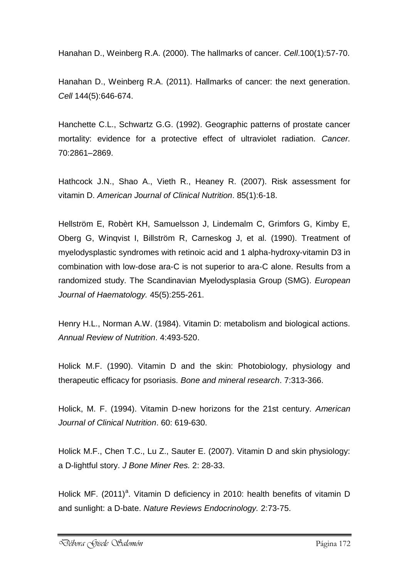Hanahan D., Weinberg R.A. (2000). The hallmarks of cancer. *Cell*.100(1):57-70.

Hanahan D., Weinberg R.A. (2011). Hallmarks of cancer: the next generation. *Cell* 144(5):646-674.

Hanchette C.L., Schwartz G.G. (1992). Geographic patterns of prostate cancer mortality: evidence for a protective effect of ultraviolet radiation. *Cancer.*  70:2861–2869.

Hathcock J.N., Shao A., Vieth R., Heaney R. (2007). Risk assessment for vitamin D. *American Journal of Clinical Nutrition*. 85(1):6-18.

Hellström E, Robèrt KH, Samuelsson J, Lindemalm C, Grimfors G, Kimby E, Oberg G, Winqvist I, Billström R, Carneskog J, et al. (1990). Treatment of myelodysplastic syndromes with retinoic acid and 1 alpha-hydroxy-vitamin D3 in combination with low-dose ara-C is not superior to ara-C alone. Results from a randomized study. The Scandinavian Myelodysplasia Group (SMG). *European Journal of Haematology.* 45(5):255-261.

Henry H.L., Norman A.W. (1984). Vitamin D: metabolism and biological actions. *Annual Review of Nutrition*. 4:493-520.

Holick M.F. (1990). Vitamin D and the skin: Photobiology, physiology and therapeutic efficacy for psoriasis. *Bone and mineral research*. 7:313-366.

Holick, M. F. (1994). Vitamin D-new horizons for the 21st century. *American Journal of Clinical Nutrition*. 60: 619-630.

Holick M.F., Chen T.C., Lu Z., Sauter E. (2007). Vitamin D and skin physiology: a D-lightful story. *J Bone Miner Res.* 2: 28-33.

Holick MF. (2011)<sup>a</sup>. Vitamin D deficiency in 2010: health benefits of vitamin D and sunlight: a D-bate. *Nature Reviews Endocrinology.* 2:73-75.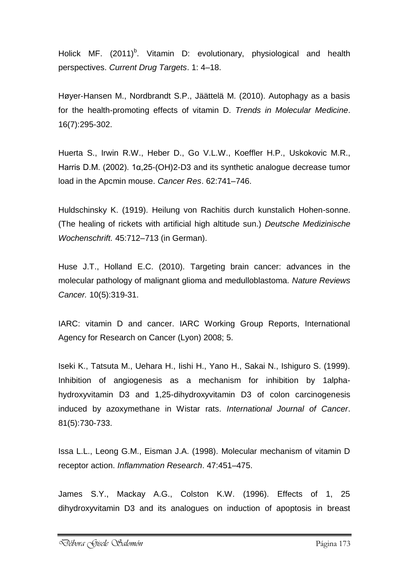Holick MF.  $(2011)^b$ . Vitamin D: evolutionary, physiological and health perspectives. *Current Drug Targets*. 1: 4–18.

Høyer-Hansen M., Nordbrandt S.P., Jäättelä M. (2010). Autophagy as a basis for the health-promoting effects of vitamin D. *Trends in Molecular Medicine*. 16(7):295-302.

Huerta S., Irwin R.W., Heber D., Go V.L.W., Koeffler H.P., Uskokovic M.R., Harris D.M. (2002). 1α,25-(OH)2-D3 and its synthetic analogue decrease tumor load in the Apcmin mouse. *Cancer Res*. 62:741–746.

Huldschinsky K. (1919). Heilung von Rachitis durch kunstalich Hohen-sonne. (The healing of rickets with artificial high altitude sun.) *Deutsche Medizinische Wochenschrift.* 45:712–713 (in German).

Huse J.T., Holland E.C. (2010). Targeting brain cancer: advances in the molecular pathology of malignant glioma and medulloblastoma. *Nature Reviews Cancer.* 10(5):319-31.

IARC: vitamin D and cancer. IARC Working Group Reports, International Agency for Research on Cancer (Lyon) 2008; 5.

Iseki K., Tatsuta M., Uehara H., Iishi H., Yano H., Sakai N., Ishiguro S. (1999). Inhibition of angiogenesis as a mechanism for inhibition by 1alphahydroxyvitamin D3 and 1,25-dihydroxyvitamin D3 of colon carcinogenesis induced by azoxymethane in Wistar rats. *International Journal of Cancer*. 81(5):730-733.

Issa L.L., Leong G.M., Eisman J.A. (1998). Molecular mechanism of vitamin D receptor action. *Inflammation Research*. 47:451–475.

James S.Y., Mackay A.G., Colston K.W. (1996). Effects of 1, 25 dihydroxyvitamin D3 and its analogues on induction of apoptosis in breast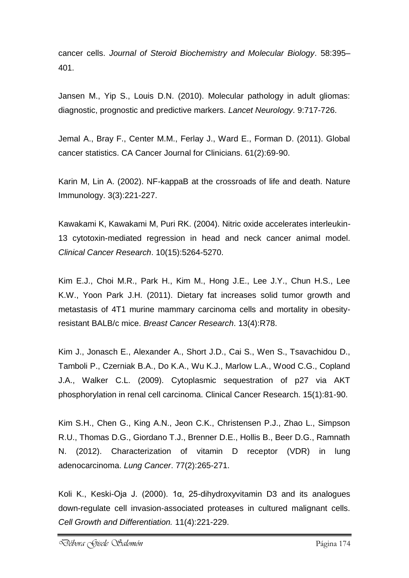cancer cells. *Journal of Steroid Biochemistry and Molecular Biology*. 58:395– 401.

Jansen M., Yip S., Louis D.N. (2010). Molecular pathology in adult gliomas: diagnostic, prognostic and predictive markers. *Lancet Neurology*. 9:717-726.

Jemal A., Bray F., Center M.M., Ferlay J., Ward E., Forman D. (2011). Global cancer statistics. CA Cancer Journal for Clinicians. 61(2):69-90.

Karin M, Lin A. (2002). NF-kappaB at the crossroads of life and death. Nature Immunology. 3(3):221-227.

Kawakami K, Kawakami M, Puri RK. (2004). Nitric oxide accelerates interleukin-13 cytotoxin-mediated regression in head and neck cancer animal model. *Clinical Cancer Research*. 10(15):5264-5270.

Kim E.J., Choi M.R., Park H., Kim M., Hong J.E., Lee J.Y., Chun H.S., Lee K.W., Yoon Park J.H. (2011). Dietary fat increases solid tumor growth and metastasis of 4T1 murine mammary carcinoma cells and mortality in obesityresistant BALB/c mice. *Breast Cancer Research*. 13(4):R78.

Kim J., Jonasch E., Alexander A., Short J.D., Cai S., Wen S., Tsavachidou D., Tamboli P., Czerniak B.A., Do K.A., Wu K.J., Marlow L.A., Wood C.G., Copland J.A., Walker C.L. (2009). Cytoplasmic sequestration of p27 via AKT phosphorylation in renal cell carcinoma. Clinical Cancer Research. 15(1):81-90.

Kim S.H., Chen G., King A.N., Jeon C.K., Christensen P.J., Zhao L., Simpson R.U., Thomas D.G., Giordano T.J., Brenner D.E., Hollis B., Beer D.G., Ramnath N. (2012). Characterization of vitamin D receptor (VDR) in lung adenocarcinoma. *Lung Cancer*. 77(2):265-271.

Koli K., Keski-Oja J. (2000). 1α, 25-dihydroxyvitamin D3 and its analogues down-regulate cell invasion-associated proteases in cultured malignant cells. *Cell Growth and Differentiation.* 11(4):221-229.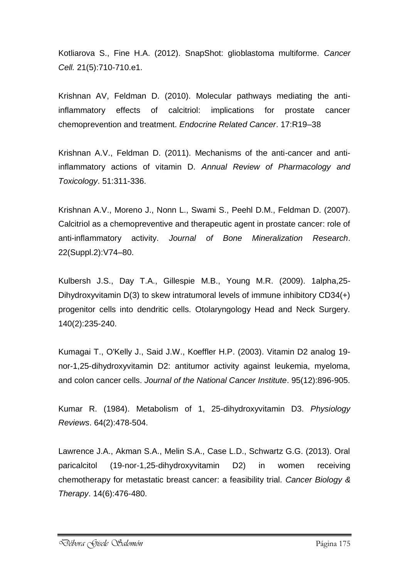Kotliarova S., Fine H.A. (2012). SnapShot: glioblastoma multiforme. *Cancer Cell.* 21(5):710-710.e1.

Krishnan AV, Feldman D. (2010). Molecular pathways mediating the antiinflammatory effects of calcitriol: implications for prostate cancer chemoprevention and treatment. *Endocrine Related Cancer*. 17:R19–38

Krishnan A.V., Feldman D. (2011). Mechanisms of the anti-cancer and antiinflammatory actions of vitamin D. *Annual Review of Pharmacology and Toxicology*. 51:311-336.

Krishnan A.V., Moreno J., Nonn L., Swami S., Peehl D.M., Feldman D. (2007). Calcitriol as a chemopreventive and therapeutic agent in prostate cancer: role of anti-inflammatory activity. *Journal of Bone Mineralization Research*. 22(Suppl.2):V74–80.

Kulbersh J.S., Day T.A., Gillespie M.B., Young M.R. (2009). 1alpha,25- Dihydroxyvitamin D(3) to skew intratumoral levels of immune inhibitory CD34(+) progenitor cells into dendritic cells. Otolaryngology Head and Neck Surgery. 140(2):235-240.

Kumagai T., O'Kelly J., Said J.W., Koeffler H.P. (2003). Vitamin D2 analog 19 nor-1,25-dihydroxyvitamin D2: antitumor activity against leukemia, myeloma, and colon cancer cells. *Journal of the National Cancer Institute*. 95(12):896-905.

Kumar R. (1984). Metabolism of 1, 25-dihydroxyvitamin D3. *Physiology Reviews*. 64(2):478-504.

Lawrence J.A., Akman S.A., Melin S.A., Case L.D., Schwartz G.G. (2013). Oral paricalcitol (19-nor-1,25-dihydroxyvitamin D2) in women receiving chemotherapy for metastatic breast cancer: a feasibility trial. *Cancer Biology & Therapy*. 14(6):476-480.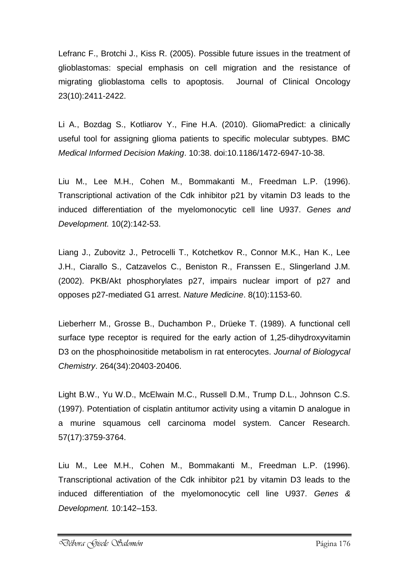Lefranc F., Brotchi J., Kiss R. (2005). Possible future issues in the treatment of glioblastomas: special emphasis on cell migration and the resistance of migrating glioblastoma cells to apoptosis. Journal of Clinical Oncology 23(10):2411-2422.

Li A., Bozdag S., Kotliarov Y., Fine H.A. (2010). GliomaPredict: a clinically useful tool for assigning glioma patients to specific molecular subtypes. BMC *Medical Informed Decision Making*. 10:38. doi:10.1186/1472-6947-10-38.

Liu M., Lee M.H., Cohen M., Bommakanti M., Freedman L.P. (1996). Transcriptional activation of the Cdk inhibitor p21 by vitamin D3 leads to the induced differentiation of the myelomonocytic cell line U937. *Genes and Development.* 10(2):142-53.

Liang J., Zubovitz J., Petrocelli T., Kotchetkov R., Connor M.K., Han K., Lee J.H., Ciarallo S., Catzavelos C., Beniston R., Franssen E., Slingerland J.M. (2002). PKB/Akt phosphorylates p27, impairs nuclear import of p27 and opposes p27-mediated G1 arrest. *Nature Medicine*. 8(10):1153-60.

Lieberherr M., Grosse B., Duchambon P., Drüeke T. (1989). A functional cell surface type receptor is required for the early action of 1,25-dihydroxyvitamin D3 on the phosphoinositide metabolism in rat enterocytes. *Journal of Biologycal Chemistry*. 264(34):20403-20406.

Light B.W., Yu W.D., McElwain M.C., Russell D.M., Trump D.L., Johnson C.S. (1997). Potentiation of cisplatin antitumor activity using a vitamin D analogue in a murine squamous cell carcinoma model system. Cancer Research. 57(17):3759-3764.

Liu M., Lee M.H., Cohen M., Bommakanti M., Freedman L.P. (1996). Transcriptional activation of the Cdk inhibitor p21 by vitamin D3 leads to the induced differentiation of the myelomonocytic cell line U937. *Genes & Development.* 10:142–153.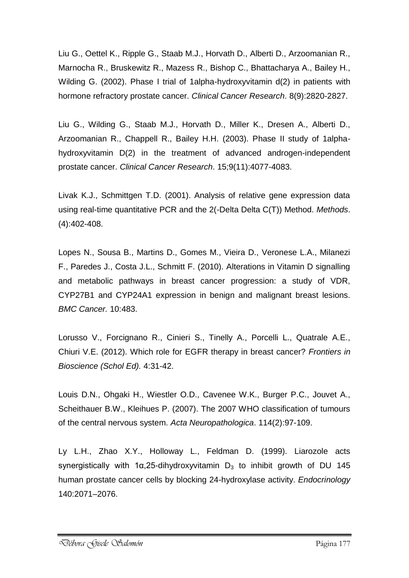Liu G., Oettel K., Ripple G., Staab M.J., Horvath D., Alberti D., Arzoomanian R., Marnocha R., Bruskewitz R., Mazess R., Bishop C., Bhattacharya A., Bailey H., Wilding G. (2002). Phase I trial of 1alpha-hydroxyvitamin d(2) in patients with hormone refractory prostate cancer. *Clinical Cancer Research*. 8(9):2820-2827.

Liu G., Wilding G., Staab M.J., Horvath D., Miller K., Dresen A., Alberti D., Arzoomanian R., Chappell R., Bailey H.H. (2003). Phase II study of 1alphahydroxyvitamin D(2) in the treatment of advanced androgen-independent prostate cancer. *Clinical Cancer Research*. 15;9(11):4077-4083.

Livak K.J., Schmittgen T.D. (2001). Analysis of relative gene expression data using real-time quantitative PCR and the 2(-Delta Delta C(T)) Method. *Methods*. (4):402-408.

Lopes N., Sousa B., Martins D., Gomes M., Vieira D., Veronese L.A., Milanezi F., Paredes J., Costa J.L., Schmitt F. (2010). Alterations in Vitamin D signalling and metabolic pathways in breast cancer progression: a study of VDR, CYP27B1 and CYP24A1 expression in benign and malignant breast lesions. *BMC Cancer.* 10:483.

Lorusso V., Forcignano R., Cinieri S., Tinelly A., Porcelli L., Quatrale A.E., Chiuri V.E. (2012). Which role for EGFR therapy in breast cancer? *Frontiers in Bioscience (Schol Ed).* 4:31-42.

Louis D.N., Ohgaki H., Wiestler O.D., Cavenee W.K., Burger P.C., Jouvet A., Scheithauer B.W., Kleihues P. (2007). The 2007 WHO classification of tumours of the central nervous system. *Acta Neuropathologica*. 114(2):97-109.

Ly L.H., Zhao X.Y., Holloway L., Feldman D. (1999). Liarozole acts synergistically with 1α,25-dihydroxyvitamin  $D_3$  to inhibit growth of DU 145 human prostate cancer cells by blocking 24-hydroxylase activity. *Endocrinology*  140:2071–2076.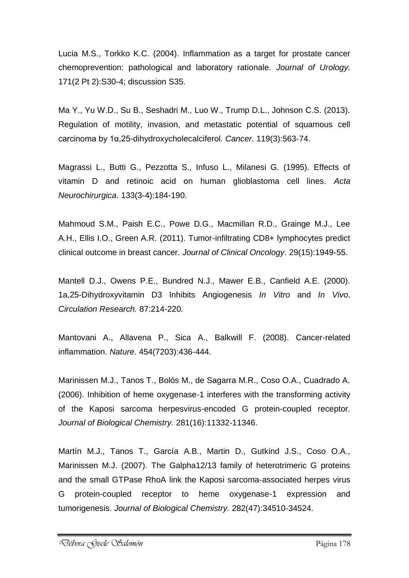Lucia M.S., Torkko K.C. (2004). Inflammation as a target for prostate cancer chemoprevention: pathological and laboratory rationale. *Journal of Urology.* 171(2 Pt 2):S30-4; discussion S35.

Ma Y., Yu W.D., Su B., Seshadri M., Luo W., Trump D.L., Johnson C.S. (2013). Regulation of motility, invasion, and metastatic potential of squamous cell carcinoma by 1α,25-dihydroxycholecalciferol. *Cancer*. 119(3):563-74.

Magrassi L., Butti G., Pezzotta S., Infuso L., Milanesi G. (1995). Effects of vitamin D and retinoic acid on human glioblastoma cell lines. *Acta Neurochirurgica*. 133(3-4):184-190.

Mahmoud S.M., Paish E.C., Powe D.G., Macmillan R.D., Grainge M.J., Lee A.H., Ellis I.O., Green A.R. (2011). Tumor-infiltrating CD8+ lymphocytes predict clinical outcome in breast cancer. *Journal of Clinical Oncology*. 29(15):1949-55.

Mantell D.J., Owens P.E., Bundred N.J., Mawer E.B., Canfield A.E. (2000). 1a,25-Dihydroxyvitamin D3 Inhibits Angiogenesis *In Vitro* and *In Vivo*. *Circulation Research.* 87:214-220*.*

Mantovani A., Allavena P., Sica A., Balkwill F. (2008). Cancer-related inflammation. *Nature*. 454(7203):436-444.

Marinissen M.J., Tanos T., Bolós M., de Sagarra M.R., Coso O.A., Cuadrado A. (2006). Inhibition of heme oxygenase-1 interferes with the transforming activity of the Kaposi sarcoma herpesvirus-encoded G protein-coupled receptor. *Journal of Biological Chemistry.* 281(16):11332-11346.

Martín M.J., Tanos T., García A.B., Martin D., Gutkind J.S., Coso O.A., Marinissen M.J. (2007). The Galpha12/13 family of heterotrimeric G proteins and the small GTPase RhoA link the Kaposi sarcoma-associated herpes virus G protein-coupled receptor to heme oxygenase-1 expression and tumorigenesis. *Journal of Biological Chemistry.* 282(47):34510-34524.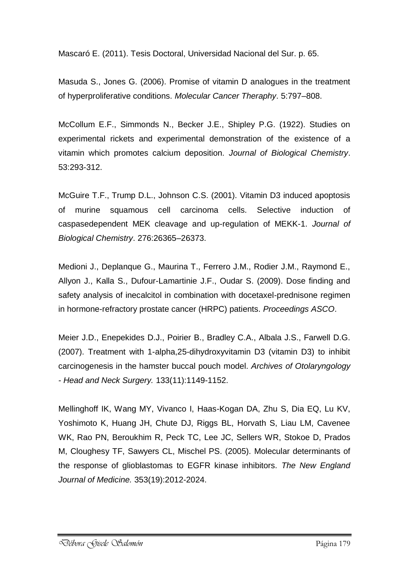Mascaró E. (2011). Tesis Doctoral, Universidad Nacional del Sur. p. 65.

Masuda S., Jones G. (2006). Promise of vitamin D analogues in the treatment of hyperproliferative conditions. *Molecular Cancer Theraphy*. 5:797–808.

McCollum E.F., Simmonds N., Becker J.E., Shipley P.G. (1922). Studies on experimental rickets and experimental demonstration of the existence of a vitamin which promotes calcium deposition. *Journal of Biological Chemistry*. 53:293-312.

McGuire T.F., Trump D.L., Johnson C.S. (2001). Vitamin D3 induced apoptosis of murine squamous cell carcinoma cells. Selective induction of caspasedependent MEK cleavage and up-regulation of MEKK-1. *Journal of Biological Chemistry*. 276:26365–26373.

Medioni J., Deplanque G., Maurina T., Ferrero J.M., Rodier J.M., Raymond E., Allyon J., Kalla S., Dufour-Lamartinie J.F., Oudar S. (2009). Dose finding and safety analysis of inecalcitol in combination with docetaxel-prednisone regimen in hormone-refractory prostate cancer (HRPC) patients. *Proceedings ASCO*.

Meier J.D., Enepekides D.J., Poirier B., Bradley C.A., Albala J.S., Farwell D.G. (2007). Treatment with 1-alpha,25-dihydroxyvitamin D3 (vitamin D3) to inhibit carcinogenesis in the hamster buccal pouch model. *Archives of Otolaryngology - Head and Neck Surgery.* 133(11):1149-1152.

Mellinghoff IK, Wang MY, Vivanco I, Haas-Kogan DA, Zhu S, Dia EQ, Lu KV, Yoshimoto K, Huang JH, Chute DJ, Riggs BL, Horvath S, Liau LM, Cavenee WK, Rao PN, Beroukhim R, Peck TC, Lee JC, Sellers WR, Stokoe D, Prados M, Cloughesy TF, Sawyers CL, Mischel PS. (2005). Molecular determinants of the response of glioblastomas to EGFR kinase inhibitors. *The New England Journal of Medicine.* 353(19):2012-2024.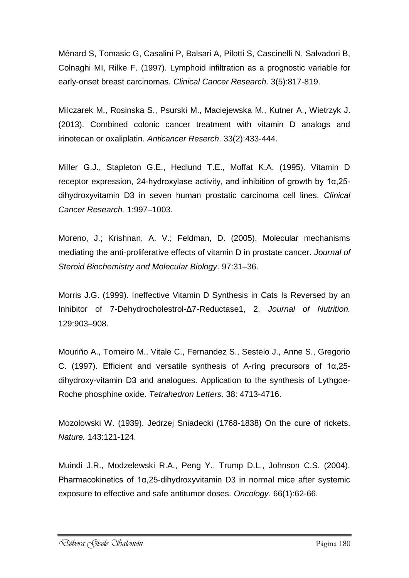Ménard S, Tomasic G, Casalini P, Balsari A, Pilotti S, Cascinelli N, Salvadori B, Colnaghi MI, Rilke F. (1997). Lymphoid infiltration as a prognostic variable for early-onset breast carcinomas. *Clinical Cancer Research*. 3(5):817-819.

Milczarek M., Rosinska S., Psurski M., Maciejewska M., Kutner A., Wietrzyk J. (2013). Combined colonic cancer treatment with vitamin D analogs and irinotecan or oxaliplatin. *Anticancer Reserch*. 33(2):433-444.

Miller G.J., Stapleton G.E., Hedlund T.E., Moffat K.A. (1995). Vitamin D receptor expression, 24-hydroxylase activity, and inhibition of growth by 1α,25 dihydroxyvitamin D3 in seven human prostatic carcinoma cell lines. *Clinical Cancer Research.* 1:997–1003.

Moreno, J.; Krishnan, A. V.; Feldman, D. (2005). Molecular mechanisms mediating the anti-proliferative effects of vitamin D in prostate cancer. *Journal of Steroid Biochemistry and Molecular Biology*. 97:31–36.

Morris J.G. (1999). Ineffective Vitamin D Synthesis in Cats Is Reversed by an Inhibitor of 7-Dehydrocholestrol-Δ7-Reductase1, 2. *Journal of Nutrition.*  129:903–908.

Mouriño A., Torneiro M., Vitale C., Fernandez S., Sestelo J., Anne S., Gregorio C. (1997). Efficient and versatile synthesis of A-ring precursors of 1α,25 dihydroxy-vitamin D3 and analogues. Application to the synthesis of Lythgoe-Roche phosphine oxide. *Tetrahedron Letters*. 38: 4713-4716.

Mozolowski W. (1939). Jedrzej Sniadecki (1768-1838) On the cure of rickets. *Nature.* 143:121-124.

Muindi J.R., Modzelewski R.A., Peng Y., Trump D.L., Johnson C.S. (2004). Pharmacokinetics of 1α,25-dihydroxyvitamin D3 in normal mice after systemic exposure to effective and safe antitumor doses. *Oncology*. 66(1):62-66.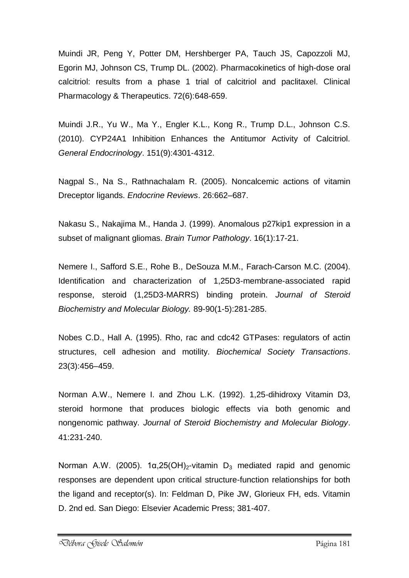Muindi JR, Peng Y, Potter DM, Hershberger PA, Tauch JS, Capozzoli MJ, Egorin MJ, Johnson CS, Trump DL. (2002). Pharmacokinetics of high-dose oral calcitriol: results from a phase 1 trial of calcitriol and paclitaxel. Clinical Pharmacology & Therapeutics. 72(6):648-659.

Muindi J.R., Yu W., Ma Y., Engler K.L., Kong R., Trump D.L., Johnson C.S. (2010). CYP24A1 Inhibition Enhances the Antitumor Activity of Calcitriol. *General Endocrinology*. 151(9):4301-4312.

Nagpal S., Na S., Rathnachalam R. (2005). Noncalcemic actions of vitamin Dreceptor ligands. *Endocrine Reviews*. 26:662–687.

Nakasu S., Nakajima M., Handa J. (1999). Anomalous p27kip1 expression in a subset of malignant gliomas. *Brain Tumor Pathology*. 16(1):17-21.

Nemere I., Safford S.E., Rohe B., DeSouza M.M., Farach-Carson M.C. (2004). Identification and characterization of 1,25D3-membrane-associated rapid response, steroid (1,25D3-MARRS) binding protein. *Journal of Steroid Biochemistry and Molecular Biology.* 89-90(1-5):281-285.

Nobes C.D., Hall A. (1995). Rho, rac and cdc42 GTPases: regulators of actin structures, cell adhesion and motility. *Biochemical Society Transactions*. 23(3):456–459.

Norman A.W., Nemere I. and Zhou L.K. (1992). 1,25-dihidroxy Vitamin D3, steroid hormone that produces biologic effects via both genomic and nongenomic pathway. *Journal of Steroid Biochemistry and Molecular Biology*. 41:231-240.

Norman A.W. (2005). 1α, 25 (OH)<sub>2</sub>-vitamin D<sub>3</sub> mediated rapid and genomic responses are dependent upon critical structure-function relationships for both the ligand and receptor(s). In: Feldman D, Pike JW, Glorieux FH, eds. Vitamin D. 2nd ed. San Diego: Elsevier Academic Press; 381-407.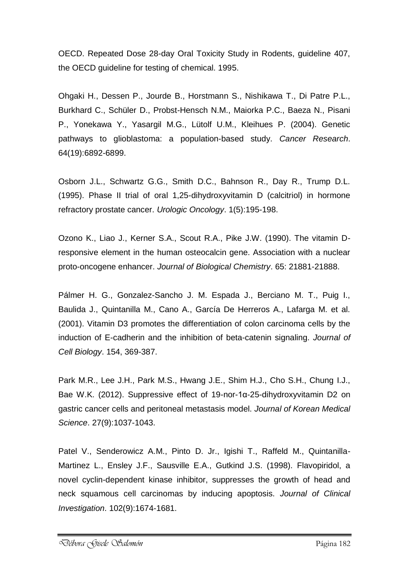OECD. Repeated Dose 28-day Oral Toxicity Study in Rodents, guideline 407, the OECD guideline for testing of chemical. 1995.

Ohgaki H., Dessen P., Jourde B., Horstmann S., Nishikawa T., Di Patre P.L., Burkhard C., Schüler D., Probst-Hensch N.M., Maiorka P.C., Baeza N., Pisani P., Yonekawa Y., Yasargil M.G., Lütolf U.M., Kleihues P. (2004). Genetic pathways to glioblastoma: a population-based study. *Cancer Research*. 64(19):6892-6899.

Osborn J.L., Schwartz G.G., Smith D.C., Bahnson R., Day R., Trump D.L. (1995). Phase II trial of oral 1,25-dihydroxyvitamin D (calcitriol) in hormone refractory prostate cancer. *Urologic Oncology*. 1(5):195-198.

Ozono K., Liao J., Kerner S.A., Scout R.A., Pike J.W. (1990). The vitamin Dresponsive element in the human osteocalcin gene. Association with a nuclear proto-oncogene enhancer. *Journal of Biological Chemistry*. 65: 21881-21888.

Pálmer H. G., Gonzalez-Sancho J. M. Espada J., Berciano M. T., Puig I., Baulida J., Quintanilla M., Cano A., García De Herreros A., Lafarga M. et al. (2001). Vitamin D3 promotes the differentiation of colon carcinoma cells by the induction of E-cadherin and the inhibition of beta-catenin signaling. *Journal of Cell Biology*. 154, 369-387.

Park M.R., Lee J.H., Park M.S., Hwang J.E., Shim H.J., Cho S.H., Chung I.J., Bae W.K. (2012). Suppressive effect of 19-nor-1α-25-dihydroxyvitamin D2 on gastric cancer cells and peritoneal metastasis model. *Journal of Korean Medical Science*. 27(9):1037-1043.

Patel V., Senderowicz A.M., Pinto D. Jr., Igishi T., Raffeld M., Quintanilla-Martinez L., Ensley J.F., Sausville E.A., Gutkind J.S. (1998). Flavopiridol, a novel cyclin-dependent kinase inhibitor, suppresses the growth of head and neck squamous cell carcinomas by inducing apoptosis. *Journal of Clinical Investigation*. 102(9):1674-1681.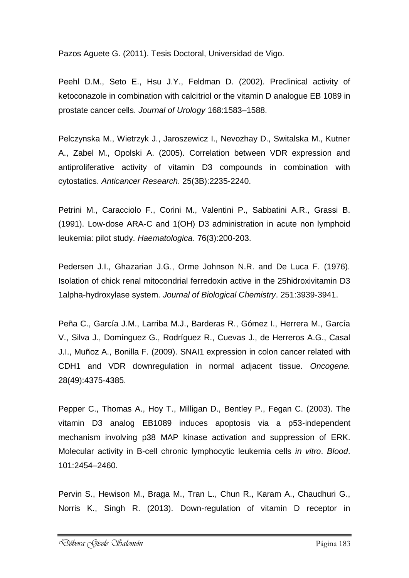Pazos Aguete G. (2011). Tesis Doctoral, Universidad de Vigo.

Peehl D.M., Seto E., Hsu J.Y., Feldman D. (2002). Preclinical activity of ketoconazole in combination with calcitriol or the vitamin D analogue EB 1089 in prostate cancer cells. *Journal of Urology* 168:1583–1588.

Pelczynska M., Wietrzyk J., Jaroszewicz I., Nevozhay D., Switalska M., Kutner A., Zabel M., Opolski A. (2005). Correlation between VDR expression and antiproliferative activity of vitamin D3 compounds in combination with cytostatics. *Anticancer Research*. 25(3B):2235-2240.

Petrini M., Caracciolo F., Corini M., Valentini P., Sabbatini A.R., Grassi B. (1991). Low-dose ARA-C and 1(OH) D3 administration in acute non lymphoid leukemia: pilot study. *Haematologica.* 76(3):200-203.

Pedersen J.I., Ghazarian J.G., Orme Johnson N.R. and De Luca F. (1976). Isolation of chick renal mitocondrial ferredoxin active in the 25hidroxivitamin D3 1alpha-hydroxylase system. *Journal of Biological Chemistry*. 251:3939-3941.

Peña C., García J.M., Larriba M.J., Barderas R., Gómez I., Herrera M., García V., Silva J., Domínguez G., Rodríguez R., Cuevas J., de Herreros A.G., Casal J.I., Muñoz A., Bonilla F. (2009). SNAI1 expression in colon cancer related with CDH1 and VDR downregulation in normal adjacent tissue. *Oncogene.* 28(49):4375-4385.

Pepper C., Thomas A., Hoy T., Milligan D., Bentley P., Fegan C. (2003). The vitamin D3 analog EB1089 induces apoptosis via a p53-independent mechanism involving p38 MAP kinase activation and suppression of ERK. Molecular activity in B-cell chronic lymphocytic leukemia cells *in vitro*. *Blood*. 101:2454–2460.

Pervin S., Hewison M., Braga M., Tran L., Chun R., Karam A., Chaudhuri G., Norris K., Singh R. (2013). Down-regulation of vitamin D receptor in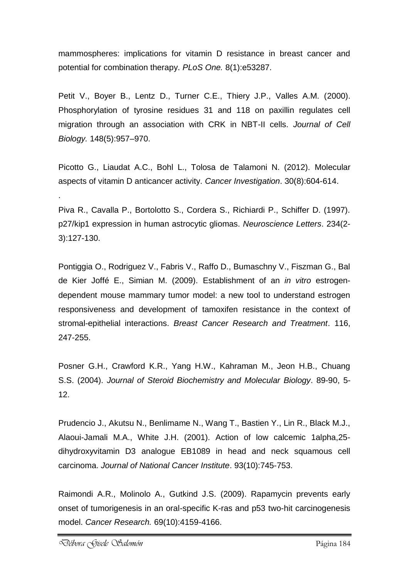mammospheres: implications for vitamin D resistance in breast cancer and potential for combination therapy. *PLoS One.* 8(1):e53287.

Petit V., Boyer B., Lentz D., Turner C.E., Thiery J.P., Valles A.M. (2000). Phosphorylation of tyrosine residues 31 and 118 on paxillin regulates cell migration through an association with CRK in NBT-II cells. *Journal of Cell Biology.* 148(5):957–970.

Picotto G., Liaudat A.C., Bohl L., Tolosa de Talamoni N. (2012). Molecular aspects of vitamin D anticancer activity. *Cancer Investigation*. 30(8):604-614.

Piva R., Cavalla P., Bortolotto S., Cordera S., Richiardi P., Schiffer D. (1997). p27/kip1 expression in human astrocytic gliomas. *Neuroscience Letters*. 234(2- 3):127-130.

Pontiggia O., Rodriguez V., Fabris V., Raffo D., Bumaschny V., Fiszman G., Bal de Kier Joffé E., Simian M. (2009). Establishment of an *in vitro* estrogendependent mouse mammary tumor model: a new tool to understand estrogen responsiveness and development of tamoxifen resistance in the context of stromal-epithelial interactions. *Breast Cancer Research and Treatment*. 116, 247-255.

Posner G.H., Crawford K.R., Yang H.W., Kahraman M., Jeon H.B., Chuang S.S. (2004). *Journal of Steroid Biochemistry and Molecular Biology*. 89-90, 5- 12.

Prudencio J., Akutsu N., Benlimame N., Wang T., Bastien Y., Lin R., Black M.J., Alaoui-Jamali M.A., White J.H. (2001). Action of low calcemic 1alpha,25 dihydroxyvitamin D3 analogue EB1089 in head and neck squamous cell carcinoma. *Journal of National Cancer Institute*. 93(10):745-753.

Raimondi A.R., Molinolo A., Gutkind J.S. (2009). Rapamycin prevents early onset of tumorigenesis in an oral-specific K-ras and p53 two-hit carcinogenesis model. *Cancer Research.* 69(10):4159-4166.

.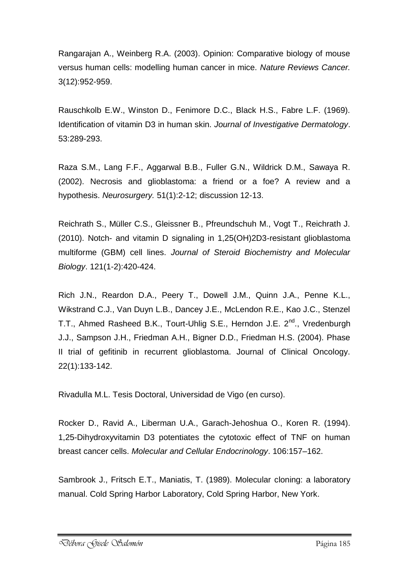Rangarajan A., Weinberg R.A. (2003). Opinion: Comparative biology of mouse versus human cells: modelling human cancer in mice. *Nature Reviews Cancer.* 3(12):952-959.

Rauschkolb E.W., Winston D., Fenimore D.C., Black H.S., Fabre L.F. (1969). Identification of vitamin D3 in human skin. *Journal of Investigative Dermatology*. 53:289-293.

Raza S.M., Lang F.F., Aggarwal B.B., Fuller G.N., Wildrick D.M., Sawaya R. (2002). Necrosis and glioblastoma: a friend or a foe? A review and a hypothesis. *Neurosurgery.* 51(1):2-12; discussion 12-13.

Reichrath S., Müller C.S., Gleissner B., Pfreundschuh M., Vogt T., Reichrath J. (2010). Notch- and vitamin D signaling in 1,25(OH)2D3-resistant glioblastoma multiforme (GBM) cell lines. *Journal of Steroid Biochemistry and Molecular Biology*. 121(1-2):420-424.

Rich J.N., Reardon D.A., Peery T., Dowell J.M., Quinn J.A., Penne K.L., Wikstrand C.J., Van Duyn L.B., Dancey J.E., McLendon R.E., Kao J.C., Stenzel T.T., Ahmed Rasheed B.K., Tourt-Uhlig S.E., Herndon J.E. 2<sup>nd</sup>., Vredenburgh J.J., Sampson J.H., Friedman A.H., Bigner D.D., Friedman H.S. (2004). Phase II trial of gefitinib in recurrent glioblastoma. Journal of Clinical Oncology. 22(1):133-142.

Rivadulla M.L. Tesis Doctoral, Universidad de Vigo (en curso).

Rocker D., Ravid A., Liberman U.A., Garach-Jehoshua O., Koren R. (1994). 1,25-Dihydroxyvitamin D3 potentiates the cytotoxic effect of TNF on human breast cancer cells. *Molecular and Cellular Endocrinology*. 106:157–162.

Sambrook J., Fritsch E.T., Maniatis, T. (1989). Molecular cloning: a laboratory manual. Cold Spring Harbor Laboratory, Cold Spring Harbor, New York.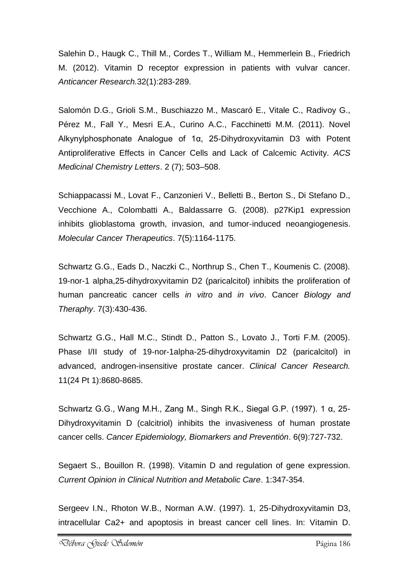Salehin D., Haugk C., Thill M., Cordes T., William M., Hemmerlein B., Friedrich M. (2012). Vitamin D receptor expression in patients with vulvar cancer. *Anticancer Research.*32(1):283-289.

Salomón D.G., Grioli S.M., Buschiazzo M., Mascaró E., Vitale C., Radivoy G., Pérez M., Fall Y., Mesri E.A., Curino A.C., Facchinetti M.M. (2011). Novel Alkynylphosphonate Analogue of 1α, 25-Dihydroxyvitamin D3 with Potent Antiproliferative Effects in Cancer Cells and Lack of Calcemic Activity. *ACS Medicinal Chemistry Letters*. 2 (7); 503–508.

Schiappacassi M., Lovat F., Canzonieri V., Belletti B., Berton S., Di Stefano D., Vecchione A., Colombatti A., Baldassarre G. (2008). p27Kip1 expression inhibits glioblastoma growth, invasion, and tumor-induced neoangiogenesis. *Molecular Cancer Therapeutics*. 7(5):1164-1175.

Schwartz G.G., Eads D., Naczki C., Northrup S., Chen T., Koumenis C. (2008). 19-nor-1 alpha,25-dihydroxyvitamin D2 (paricalcitol) inhibits the proliferation of human pancreatic cancer cells *in vitro* and *in vivo*. Cancer *Biology and Theraphy*. 7(3):430-436.

Schwartz G.G., Hall M.C., Stindt D., Patton S., Lovato J., Torti F.M. (2005). Phase I/II study of 19-nor-1alpha-25-dihydroxyvitamin D2 (paricalcitol) in advanced, androgen-insensitive prostate cancer. *Clinical Cancer Research.* 11(24 Pt 1):8680-8685.

Schwartz G.G., Wang M.H., Zang M., Singh R.K., Siegal G.P. (1997). 1 α, 25- Dihydroxyvitamin D (calcitriol) inhibits the invasiveness of human prostate cancer cells. *Cancer Epidemiology, Biomarkers and Preventión*. 6(9):727-732.

Segaert S., Bouillon R. (1998). Vitamin D and regulation of gene expression. *Current Opinion in Clinical Nutrition and Metabolic Care*. 1:347-354.

Sergeev I.N., Rhoton W.B., Norman A.W. (1997). 1, 25-Dihydroxyvitamin D3, intracellular Ca2+ and apoptosis in breast cancer cell lines. In: Vitamin D.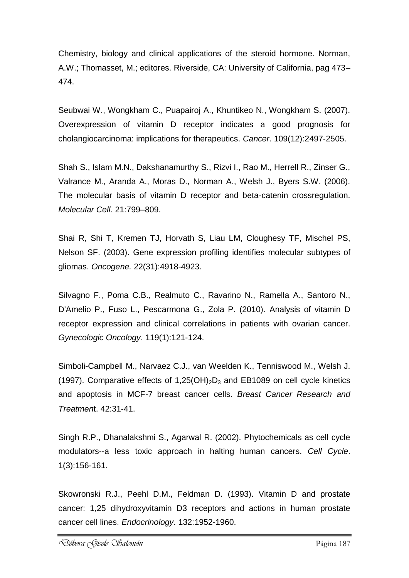Chemistry, biology and clinical applications of the steroid hormone. Norman, A.W.; Thomasset, M.; editores. Riverside, CA: University of California, pag 473– 474.

Seubwai W., Wongkham C., Puapairoj A., Khuntikeo N., Wongkham S. (2007). Overexpression of vitamin D receptor indicates a good prognosis for cholangiocarcinoma: implications for therapeutics. *Cancer*. 109(12):2497-2505.

Shah S., Islam M.N., Dakshanamurthy S., Rizvi I., Rao M., Herrell R., Zinser G., Valrance M., Aranda A., Moras D., Norman A., Welsh J., Byers S.W. (2006). The molecular basis of vitamin D receptor and beta-catenin crossregulation. *Molecular Cell*. 21:799–809.

Shai R, Shi T, Kremen TJ, Horvath S, Liau LM, Cloughesy TF, Mischel PS, Nelson SF. (2003). Gene expression profiling identifies molecular subtypes of gliomas. *Oncogene.* 22(31):4918-4923.

Silvagno F., Poma C.B., Realmuto C., Ravarino N., Ramella A., Santoro N., D'Amelio P., Fuso L., Pescarmona G., Zola P. (2010). Analysis of vitamin D receptor expression and clinical correlations in patients with ovarian cancer. *Gynecologic Oncology*. 119(1):121-124.

Simboli-Campbell M., Narvaez C.J., van Weelden K., Tenniswood M., Welsh J. (1997). Comparative effects of 1,25(OH)<sub>2</sub>D<sub>3</sub> and EB1089 on cell cycle kinetics and apoptosis in MCF-7 breast cancer cells. *Breast Cancer Research and Treatmen*t. 42:31-41.

Singh R.P., Dhanalakshmi S., Agarwal R. (2002). Phytochemicals as cell cycle modulators--a less toxic approach in halting human cancers. *Cell Cycle*. 1(3):156-161.

Skowronski R.J., Peehl D.M., Feldman D. (1993). Vitamin D and prostate cancer: 1,25 dihydroxyvitamin D3 receptors and actions in human prostate cancer cell lines. *Endocrinology*. 132:1952-1960.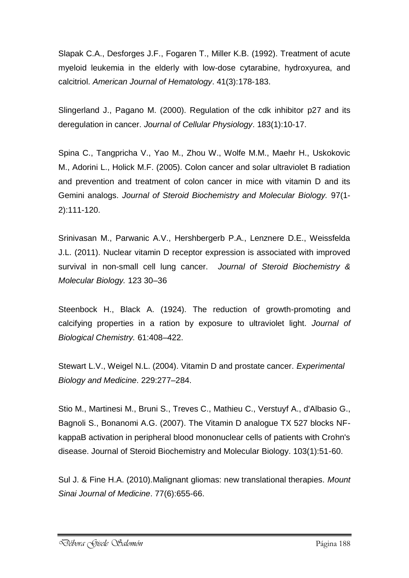Slapak C.A., Desforges J.F., Fogaren T., Miller K.B. (1992). Treatment of acute myeloid leukemia in the elderly with low-dose cytarabine, hydroxyurea, and calcitriol. *American Journal of Hematology*. 41(3):178-183.

Slingerland J., Pagano M. (2000). Regulation of the cdk inhibitor p27 and its deregulation in cancer. *Journal of Cellular Physiology*. 183(1):10-17.

Spina C., Tangpricha V., Yao M., Zhou W., Wolfe M.M., Maehr H., Uskokovic M., Adorini L., Holick M.F. (2005). Colon cancer and solar ultraviolet B radiation and prevention and treatment of colon cancer in mice with vitamin D and its Gemini analogs. *Journal of Steroid Biochemistry and Molecular Biology.* 97(1- 2):111-120.

Srinivasan M., Parwanic A.V., Hershbergerb P.A., Lenznere D.E., Weissfelda J.L. (2011). Nuclear vitamin D receptor expression is associated with improved survival in non-small cell lung cancer. *Journal of Steroid Biochemistry & Molecular Biology.* 123 30–36

Steenbock H., Black A. (1924). The reduction of growth-promoting and calcifying properties in a ration by exposure to ultraviolet light. *Journal of Biological Chemistry.* 61:408–422.

Stewart L.V., Weigel N.L. (2004). Vitamin D and prostate cancer. *Experimental Biology and Medicine*. 229:277–284.

Stio M., Martinesi M., Bruni S., Treves C., Mathieu C., Verstuyf A., d'Albasio G., Bagnoli S., Bonanomi A.G. (2007). The Vitamin D analogue TX 527 blocks NFkappaB activation in peripheral blood mononuclear cells of patients with Crohn's disease. Journal of Steroid Biochemistry and Molecular Biology. 103(1):51-60.

Sul J. & Fine H.A. (2010).Malignant gliomas: new translational therapies. *Mount Sinai Journal of Medicine*. 77(6):655-66.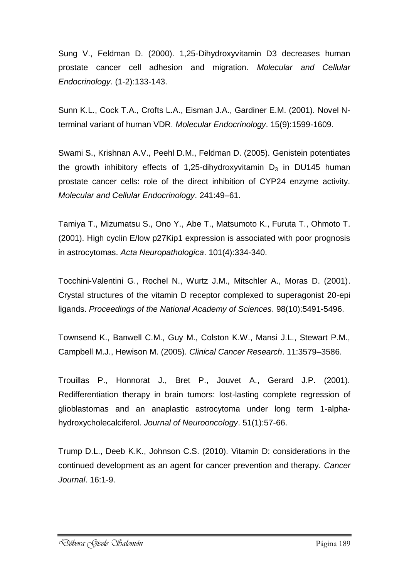Sung V., Feldman D. (2000). 1,25-Dihydroxyvitamin D3 decreases human prostate cancer cell adhesion and migration. *Molecular and Cellular Endocrinology*. (1-2):133-143.

Sunn K.L., Cock T.A., Crofts L.A., Eisman J.A., Gardiner E.M. (2001). Novel Nterminal variant of human VDR. *Molecular Endocrinology*. 15(9):1599-1609.

Swami S., Krishnan A.V., Peehl D.M., Feldman D. (2005). Genistein potentiates the growth inhibitory effects of 1,25-dihydroxyvitamin  $D_3$  in DU145 human prostate cancer cells: role of the direct inhibition of CYP24 enzyme activity. *Molecular and Cellular Endocrinology*. 241:49–61.

Tamiya T., Mizumatsu S., Ono Y., Abe T., Matsumoto K., Furuta T., Ohmoto T. (2001). High cyclin E/low p27Kip1 expression is associated with poor prognosis in astrocytomas. *Acta Neuropathologica*. 101(4):334-340.

Tocchini-Valentini G., Rochel N., Wurtz J.M., Mitschler A., Moras D. (2001). Crystal structures of the vitamin D receptor complexed to superagonist 20-epi ligands. *Proceedings of the National Academy of Sciences*. 98(10):5491-5496.

Townsend K., Banwell C.M., Guy M., Colston K.W., Mansi J.L., Stewart P.M., Campbell M.J., Hewison M. (2005). *Clinical Cancer Research*. 11:3579–3586.

Trouillas P., Honnorat J., Bret P., Jouvet A., Gerard J.P. (2001). Redifferentiation therapy in brain tumors: lost-lasting complete regression of glioblastomas and an anaplastic astrocytoma under long term 1-alphahydroxycholecalciferol. *Journal of Neurooncology*. 51(1):57-66.

Trump D.L., Deeb K.K., Johnson C.S. (2010). Vitamin D: considerations in the continued development as an agent for cancer prevention and therapy. *Cancer Journal*. 16:1-9.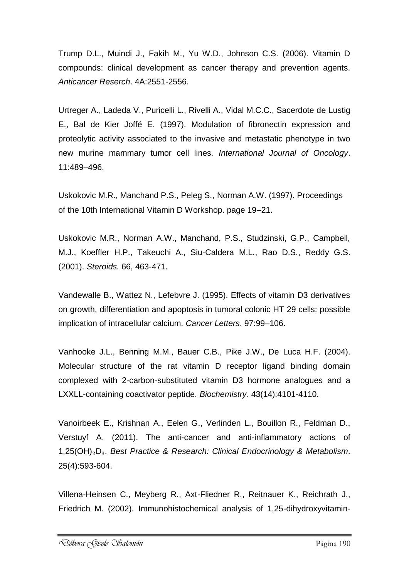Trump D.L., Muindi J., Fakih M., Yu W.D., Johnson C.S. (2006). Vitamin D compounds: clinical development as cancer therapy and prevention agents. *Anticancer Reserch*. 4A:2551-2556.

Urtreger A., Ladeda V., Puricelli L., Rivelli A., Vidal M.C.C., Sacerdote de Lustig E., Bal de Kier Joffé E. (1997). Modulation of fibronectin expression and proteolytic activity associated to the invasive and metastatic phenotype in two new murine mammary tumor cell lines. *International Journal of Oncology*. 11:489–496.

Uskokovic M.R., Manchand P.S., Peleg S., Norman A.W. (1997). Proceedings of the 10th International Vitamin D Workshop. page 19–21.

Uskokovic M.R., Norman A.W., Manchand, P.S., Studzinski, G.P., Campbell, M.J., Koeffler H.P., Takeuchi A., Siu-Caldera M.L., Rao D.S., Reddy G.S. (2001). *Steroids.* 66, 463-471.

Vandewalle B., Wattez N., Lefebvre J. (1995). Effects of vitamin D3 derivatives on growth, differentiation and apoptosis in tumoral colonic HT 29 cells: possible implication of intracellular calcium. *Cancer Letters*. 97:99–106.

Vanhooke J.L., Benning M.M., Bauer C.B., Pike J.W., De Luca H.F. (2004). Molecular structure of the rat vitamin D receptor ligand binding domain complexed with 2-carbon-substituted vitamin D3 hormone analogues and a LXXLL-containing coactivator peptide. *Biochemistry*. 43(14):4101-4110.

Vanoirbeek E., Krishnan A., Eelen G., Verlinden L., Bouillon R., Feldman D., Verstuyf A. (2011). The anti-cancer and anti-inflammatory actions of 1,25(OH)₂D₃. *Best Practice & Research: Clinical Endocrinology & Metabolism*. 25(4):593-604.

Villena-Heinsen C., Meyberg R., Axt-Fliedner R., Reitnauer K., Reichrath J., Friedrich M. (2002). Immunohistochemical analysis of 1,25-dihydroxyvitamin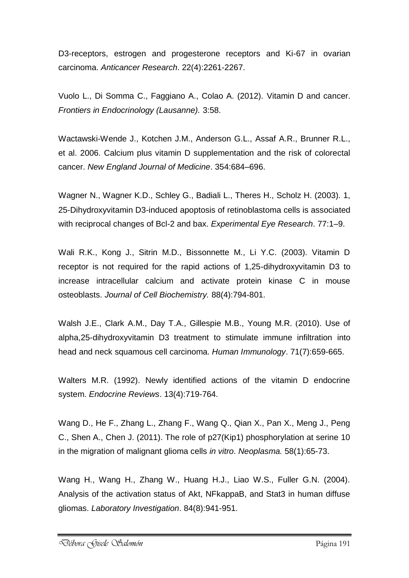D3-receptors, estrogen and progesterone receptors and Ki-67 in ovarian carcinoma. *Anticancer Research*. 22(4):2261-2267.

Vuolo L., Di Somma C., Faggiano A., Colao A. (2012). Vitamin D and cancer. *Frontiers in Endocrinology (Lausanne).* 3:58.

Wactawski-Wende J., Kotchen J.M., Anderson G.L., Assaf A.R., Brunner R.L., et al. 2006. Calcium plus vitamin D supplementation and the risk of colorectal cancer. *New England Journal of Medicine*. 354:684–696.

Wagner N., Wagner K.D., Schley G., Badiali L., Theres H., Scholz H. (2003). 1, 25-Dihydroxyvitamin D3-induced apoptosis of retinoblastoma cells is associated with reciprocal changes of Bcl-2 and bax. *Experimental Eye Research*. 77:1–9.

Wali R.K., Kong J., Sitrin M.D., Bissonnette M., Li Y.C. (2003). Vitamin D receptor is not required for the rapid actions of 1,25-dihydroxyvitamin D3 to increase intracellular calcium and activate protein kinase C in mouse osteoblasts. *Journal of Cell Biochemistry.* 88(4):794-801.

Walsh J.E., Clark A.M., Day T.A., Gillespie M.B., Young M.R. (2010). Use of alpha,25-dihydroxyvitamin D3 treatment to stimulate immune infiltration into head and neck squamous cell carcinoma. *Human Immunology*. 71(7):659-665.

Walters M.R. (1992). Newly identified actions of the vitamin D endocrine system. *Endocrine Reviews*. 13(4):719-764.

Wang D., He F., Zhang L., Zhang F., Wang Q., Qian X., Pan X., Meng J., Peng C., Shen A., Chen J. (2011). The role of p27(Kip1) phosphorylation at serine 10 in the migration of malignant glioma cells *in vitro*. *Neoplasma.* 58(1):65-73.

Wang H., Wang H., Zhang W., Huang H.J., Liao W.S., Fuller G.N. (2004). Analysis of the activation status of Akt, NFkappaB, and Stat3 in human diffuse gliomas. *Laboratory Investigation*. 84(8):941-951.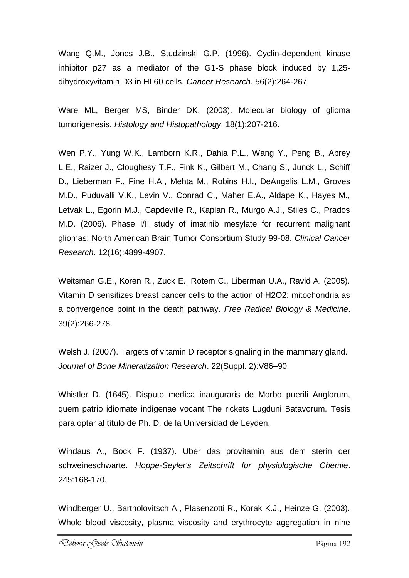Wang Q.M., Jones J.B., Studzinski G.P. (1996). Cyclin-dependent kinase inhibitor p27 as a mediator of the G1-S phase block induced by 1,25 dihydroxyvitamin D3 in HL60 cells. *Cancer Research*. 56(2):264-267.

Ware ML, Berger MS, Binder DK. (2003). Molecular biology of glioma tumorigenesis. *Histology and Histopathology*. 18(1):207-216.

Wen P.Y., Yung W.K., Lamborn K.R., Dahia P.L., Wang Y., Peng B., Abrey L.E., Raizer J., Cloughesy T.F., Fink K., Gilbert M., Chang S., Junck L., Schiff D., Lieberman F., Fine H.A., Mehta M., Robins H.I., DeAngelis L.M., Groves M.D., Puduvalli V.K., Levin V., Conrad C., Maher E.A., Aldape K., Hayes M., Letvak L., Egorin M.J., Capdeville R., Kaplan R., Murgo A.J., Stiles C., Prados M.D. (2006). Phase I/II study of imatinib mesylate for recurrent malignant gliomas: North American Brain Tumor Consortium Study 99-08. *Clinical Cancer Research*. 12(16):4899-4907.

Weitsman G.E., Koren R., Zuck E., Rotem C., Liberman U.A., Ravid A. (2005). Vitamin D sensitizes breast cancer cells to the action of H2O2: mitochondria as a convergence point in the death pathway. *Free Radical Biology & Medicine*. 39(2):266-278.

Welsh J. (2007). Targets of vitamin D receptor signaling in the mammary gland. *Journal of Bone Mineralization Research*. 22(Suppl. 2):V86–90.

Whistler D. (1645). Disputo medica inauguraris de Morbo puerili Anglorum, quem patrio idiomate indigenae vocant The rickets Lugduni Batavorum. Tesis para optar al título de Ph. D. de la Universidad de Leyden.

Windaus A., Bock F. (1937). Uber das provitamin aus dem sterin der schweineschwarte. *Hoppe-Seyler's Zeitschrift fur physiologische Chemie*. 245:168-170.

Windberger U., Bartholovitsch A., Plasenzotti R., Korak K.J., Heinze G. (2003). Whole blood viscosity, plasma viscosity and erythrocyte aggregation in nine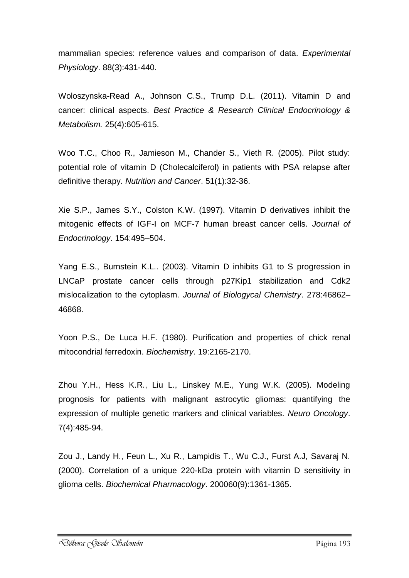mammalian species: reference values and comparison of data. *Experimental Physiology*. 88(3):431-440.

Woloszynska-Read A., Johnson C.S., Trump D.L. (2011). Vitamin D and cancer: clinical aspects. *Best Practice & Research Clinical Endocrinology & Metabolism.* 25(4):605-615.

Woo T.C., Choo R., Jamieson M., Chander S., Vieth R. (2005). Pilot study: potential role of vitamin D (Cholecalciferol) in patients with PSA relapse after definitive therapy. *Nutrition and Cancer*. 51(1):32-36.

Xie S.P., James S.Y., Colston K.W. (1997). Vitamin D derivatives inhibit the mitogenic effects of IGF-I on MCF-7 human breast cancer cells. *Journal of Endocrinology*. 154:495–504.

Yang E.S., Burnstein K.L.. (2003). Vitamin D inhibits G1 to S progression in LNCaP prostate cancer cells through p27Kip1 stabilization and Cdk2 mislocalization to the cytoplasm. *Journal of Biologycal Chemistry*. 278:46862– 46868.

Yoon P.S., De Luca H.F. (1980). Purification and properties of chick renal mitocondrial ferredoxin. *Biochemistry*. 19:2165-2170.

Zhou Y.H., Hess K.R., Liu L., Linskey M.E., Yung W.K. (2005). Modeling prognosis for patients with malignant astrocytic gliomas: quantifying the expression of multiple genetic markers and clinical variables. *Neuro Oncology*. 7(4):485-94.

Zou J., Landy H., Feun L., Xu R., Lampidis T., Wu C.J., Furst A.J, Savaraj N. (2000). Correlation of a unique 220-kDa protein with vitamin D sensitivity in glioma cells. *Biochemical Pharmacology*. 200060(9):1361-1365.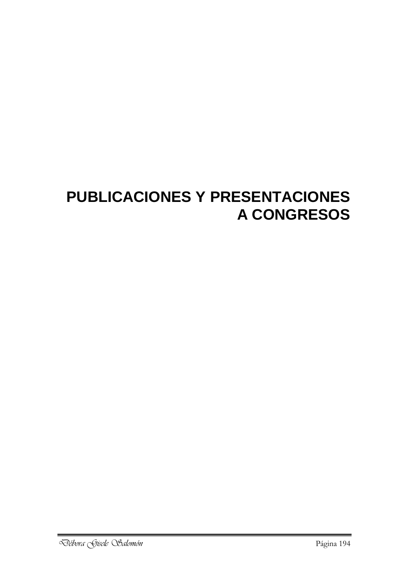# **PUBLICACIONES Y PRESENTACIONES A CONGRESOS**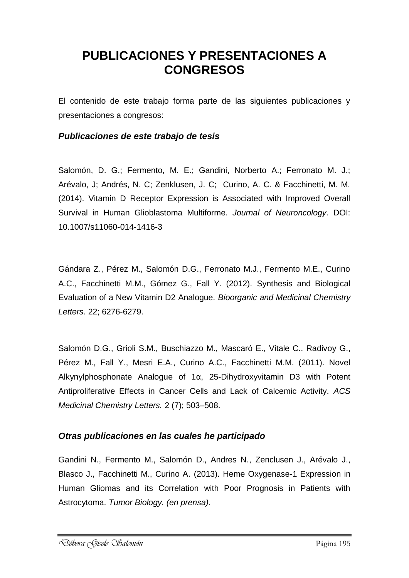## **PUBLICACIONES Y PRESENTACIONES A CONGRESOS**

El contenido de este trabajo forma parte de las siguientes publicaciones y presentaciones a congresos:

#### *Publicaciones de este trabajo de tesis*

Salomón, D. G.; Fermento, M. E.; Gandini, Norberto A.; Ferronato M. J.; Arévalo, J; Andrés, N. C; Zenklusen, J. C; Curino, A. C. & Facchinetti, M. M. (2014). Vitamin D Receptor Expression is Associated with Improved Overall Survival in Human Glioblastoma Multiforme. *Journal of Neuroncology*. DOI: 10.1007/s11060-014-1416-3

Gándara Z., Pérez M., Salomón D.G., Ferronato M.J., Fermento M.E., Curino A.C., Facchinetti M.M., Gómez G., Fall Y. (2012). Synthesis and Biological Evaluation of a New Vitamin D2 Analogue. *Bioorganic and Medicinal Chemistry Letters*. 22; 6276-6279.

Salomón D.G., Grioli S.M., Buschiazzo M., Mascaró E., Vitale C., Radivoy G., Pérez M., Fall Y., Mesri E.A., Curino A.C., Facchinetti M.M. (2011). Novel Alkynylphosphonate Analogue of 1α, 25-Dihydroxyvitamin D3 with Potent Antiproliferative Effects in Cancer Cells and Lack of Calcemic Activity. *ACS Medicinal Chemistry Letters.* 2 (7); 503–508.

#### *Otras publicaciones en las cuales he participado*

Gandini N., Fermento M., Salomón D., Andres N., Zenclusen J., Arévalo J., Blasco J., Facchinetti M., Curino A. (2013). Heme Oxygenase-1 Expression in Human Gliomas and its Correlation with Poor Prognosis in Patients with Astrocytoma. *Tumor Biology. (en prensa).*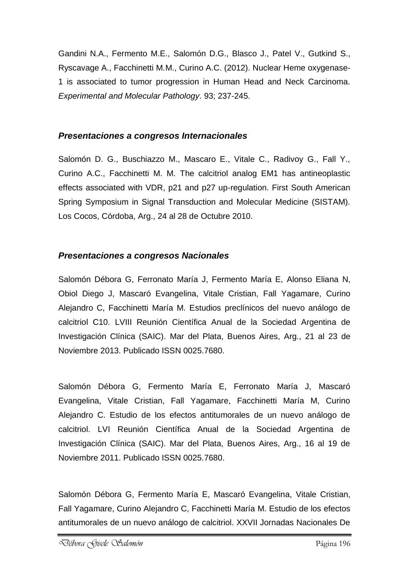Gandini N.A., Fermento M.E., Salomón D.G., Blasco J., Patel V., Gutkind S., Ryscavage A., Facchinetti M.M., Curino A.C. (2012). Nuclear Heme oxygenase-1 is associated to tumor progression in Human Head and Neck Carcinoma. *Experimental and Molecular Pathology*. 93; 237-245.

### *Presentaciones a congresos Internacionales*

Salomón D. G., Buschiazzo M., Mascaro E., Vitale C., Radivoy G., Fall Y., Curino A.C., Facchinetti M. M. The calcitriol analog EM1 has antineoplastic effects associated with VDR, p21 and p27 up-regulation. First South American Spring Symposium in Signal Transduction and Molecular Medicine (SISTAM). Los Cocos, Córdoba, Arg., 24 al 28 de Octubre 2010.

### *Presentaciones a congresos Nacionales*

Salomón Débora G, Ferronato María J, Fermento María E, Alonso Eliana N, Obiol Diego J, Mascaró Evangelina, Vitale Cristian, Fall Yagamare, Curino Alejandro C, Facchinetti María M. Estudios preclínicos del nuevo análogo de calcitriol C10. LVIII Reunión Científica Anual de la Sociedad Argentina de Investigación Clínica (SAIC). Mar del Plata, Buenos Aires, Arg., 21 al 23 de Noviembre 2013. Publicado ISSN 0025.7680.

Salomón Débora G, Fermento María E, Ferronato María J, Mascaró Evangelina, Vitale Cristian, Fall Yagamare, Facchinetti María M, Curino Alejandro C. Estudio de los efectos antitumorales de un nuevo análogo de calcitriol. LVI Reunión Científica Anual de la Sociedad Argentina de Investigación Clínica (SAIC). Mar del Plata, Buenos Aires, Arg., 16 al 19 de Noviembre 2011. Publicado ISSN 0025.7680.

Salomón Débora G, Fermento María E, Mascaró Evangelina, Vitale Cristian, Fall Yagamare, Curino Alejandro C, Facchinetti María M. Estudio de los efectos antitumorales de un nuevo análogo de calcitriol. XXVII Jornadas Nacionales De